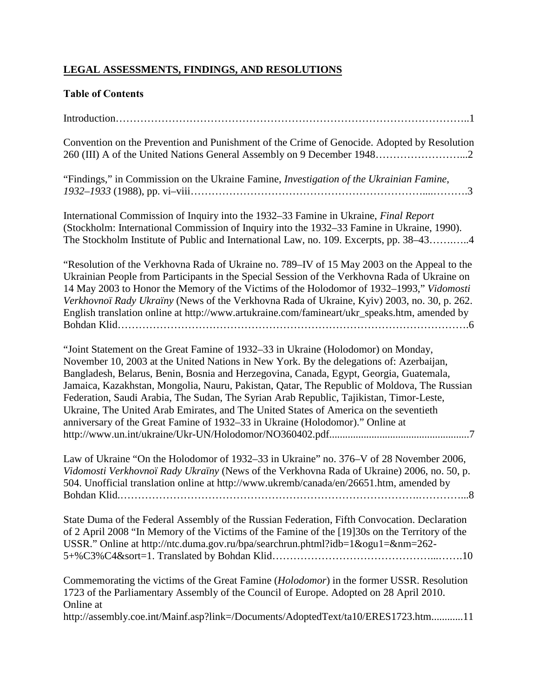# **LEGAL ASSESSMENTS, FINDINGS, AND RESOLUTIONS**

# **Table of Contents**

| Convention on the Prevention and Punishment of the Crime of Genocide. Adopted by Resolution                                                                                                                                                                                                                                                                                                                                                                                                                                                                                                                                                |
|--------------------------------------------------------------------------------------------------------------------------------------------------------------------------------------------------------------------------------------------------------------------------------------------------------------------------------------------------------------------------------------------------------------------------------------------------------------------------------------------------------------------------------------------------------------------------------------------------------------------------------------------|
| "Findings," in Commission on the Ukraine Famine, Investigation of the Ukrainian Famine,                                                                                                                                                                                                                                                                                                                                                                                                                                                                                                                                                    |
| International Commission of Inquiry into the 1932–33 Famine in Ukraine, Final Report<br>(Stockholm: International Commission of Inquiry into the 1932–33 Famine in Ukraine, 1990).<br>The Stockholm Institute of Public and International Law, no. 109. Excerpts, pp. 38–434                                                                                                                                                                                                                                                                                                                                                               |
| "Resolution of the Verkhovna Rada of Ukraine no. 789–IV of 15 May 2003 on the Appeal to the<br>Ukrainian People from Participants in the Special Session of the Verkhovna Rada of Ukraine on<br>14 May 2003 to Honor the Memory of the Victims of the Holodomor of 1932-1993," Vidomosti<br>Verkhovnoï Rady Ukraïny (News of the Verkhovna Rada of Ukraine, Kyiv) 2003, no. 30, p. 262.<br>English translation online at http://www.artukraine.com/famineart/ukr_speaks.htm, amended by                                                                                                                                                    |
| "Joint Statement on the Great Famine of 1932–33 in Ukraine (Holodomor) on Monday,<br>November 10, 2003 at the United Nations in New York. By the delegations of: Azerbaijan,<br>Bangladesh, Belarus, Benin, Bosnia and Herzegovina, Canada, Egypt, Georgia, Guatemala,<br>Jamaica, Kazakhstan, Mongolia, Nauru, Pakistan, Qatar, The Republic of Moldova, The Russian<br>Federation, Saudi Arabia, The Sudan, The Syrian Arab Republic, Tajikistan, Timor-Leste,<br>Ukraine, The United Arab Emirates, and The United States of America on the seventieth<br>anniversary of the Great Famine of 1932–33 in Ukraine (Holodomor)." Online at |
| Law of Ukraine "On the Holodomor of 1932–33 in Ukraine" no. 376–V of 28 November 2006,<br>Vidomosti Verkhovnoï Rady Ukraïny (News of the Verkhovna Rada of Ukraine) 2006, no. 50, p.<br>504. Unofficial translation online at http://www.ukremb/canada/en/26651.htm, amended by                                                                                                                                                                                                                                                                                                                                                            |
| State Duma of the Federal Assembly of the Russian Federation, Fifth Convocation. Declaration<br>of 2 April 2008 "In Memory of the Victims of the Famine of the [19]30s on the Territory of the<br>USSR." Online at http://ntc.duma.gov.ru/bpa/searchrun.phtml?idb=1&ogu1=&nm=262-                                                                                                                                                                                                                                                                                                                                                          |
| Commemorating the victims of the Great Famine (Holodomor) in the former USSR. Resolution<br>1723 of the Parliamentary Assembly of the Council of Europe. Adopted on 28 April 2010.<br>Online at<br>http://assembly.coe.int/Mainf.asp?link=/Documents/AdoptedText/ta10/ERES1723.htm11                                                                                                                                                                                                                                                                                                                                                       |
|                                                                                                                                                                                                                                                                                                                                                                                                                                                                                                                                                                                                                                            |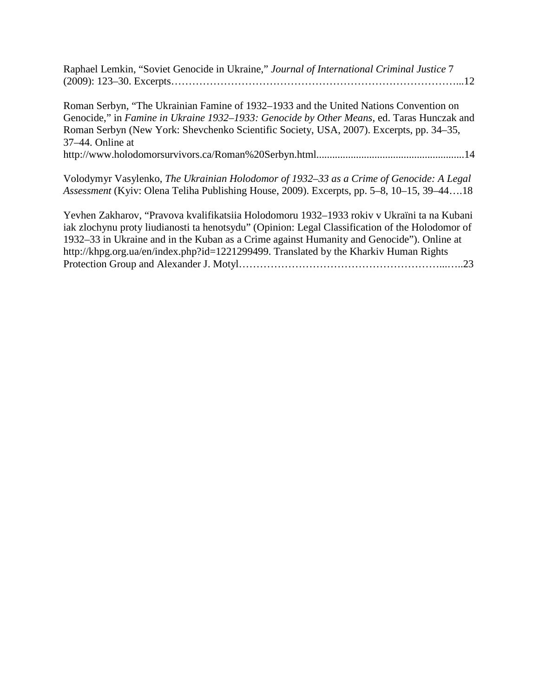Raphael Lemkin, "Soviet Genocide in Ukraine," *Journal of International Criminal Justice* 7 (2009): 123–30. Excerpts………………………………………………………………………...12

Roman Serbyn, "The Ukrainian Famine of 1932–1933 and the United Nations Convention on Genocide," in *Famine in Ukraine 1932–1933: Genocide by Other Means*, ed. Taras Hunczak and Roman Serbyn (New York: Shevchenko Scientific Society, USA, 2007). Excerpts, pp. 34–35, 37–44. Online at http://www.holodomorsurvivors.ca/Roman%20Serbyn.html........................................................14 Volodymyr Vasylenko, *The Ukrainian Holodomor of 1932–33 as a Crime of Genocide: A Legal Assessment* (Kyiv: Olena Teliha Publishing House, 2009). Excerpts, pp. 5–8, 10–15, 39–44….18 Yevhen Zakharov, "Pravova kvalifikatsiia Holodomoru 1932–1933 rokiv v Ukraïni ta na Kubani iak zlochynu proty liudianosti ta henotsydu" (Opinion: Legal Classification of the Holodomor of

1932–33 in Ukraine and in the Kuban as a Crime against Humanity and Genocide"). Online at http://khpg.org.ua/en/index.php?id=1221299499. Translated by the Kharkiv Human Rights Protection Group and Alexander J. Motyl…………………………………………………...…..23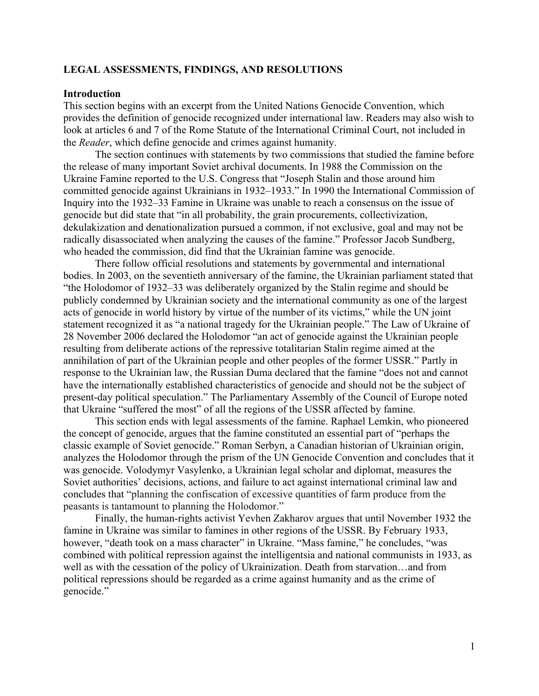### **LEGAL ASSESSMENTS, FINDINGS, AND RESOLUTIONS**

#### **Introduction**

This section begins with an excerpt from the United Nations Genocide Convention, which provides the definition of genocide recognized under international law. Readers may also wish to look at articles 6 and 7 of the Rome Statute of the International Criminal Court, not included in the *Reader*, which define genocide and crimes against humanity.

The section continues with statements by two commissions that studied the famine before the release of many important Soviet archival documents. In 1988 the Commission on the Ukraine Famine reported to the U.S. Congress that "Joseph Stalin and those around him committed genocide against Ukrainians in 1932–1933." In 1990 the International Commission of Inquiry into the 1932–33 Famine in Ukraine was unable to reach a consensus on the issue of genocide but did state that "in all probability, the grain procurements, collectivization, dekulakization and denationalization pursued a common, if not exclusive, goal and may not be radically disassociated when analyzing the causes of the famine." Professor Jacob Sundberg, who headed the commission, did find that the Ukrainian famine was genocide.

There follow official resolutions and statements by governmental and international bodies. In 2003, on the seventieth anniversary of the famine, the Ukrainian parliament stated that "the Holodomor of 1932–33 was deliberately organized by the Stalin regime and should be publicly condemned by Ukrainian society and the international community as one of the largest acts of genocide in world history by virtue of the number of its victims," while the UN joint statement recognized it as "a national tragedy for the Ukrainian people." The Law of Ukraine of 28 November 2006 declared the Holodomor "an act of genocide against the Ukrainian people resulting from deliberate actions of the repressive totalitarian Stalin regime aimed at the annihilation of part of the Ukrainian people and other peoples of the former USSR." Partly in response to the Ukrainian law, the Russian Duma declared that the famine "does not and cannot have the internationally established characteristics of genocide and should not be the subject of present-day political speculation." The Parliamentary Assembly of the Council of Europe noted that Ukraine "suffered the most" of all the regions of the USSR affected by famine.

This section ends with legal assessments of the famine. Raphael Lemkin, who pioneered the concept of genocide, argues that the famine constituted an essential part of "perhaps the classic example of Soviet genocide." Roman Serbyn, a Canadian historian of Ukrainian origin, analyzes the Holodomor through the prism of the UN Genocide Convention and concludes that it was genocide. Volodymyr Vasylenko, a Ukrainian legal scholar and diplomat, measures the Soviet authorities' decisions, actions, and failure to act against international criminal law and concludes that "planning the confiscation of excessive quantities of farm produce from the peasants is tantamount to planning the Holodomor."

Finally, the human-rights activist Yevhen Zakharov argues that until November 1932 the famine in Ukraine was similar to famines in other regions of the USSR. By February 1933, however, "death took on a mass character" in Ukraine. "Mass famine," he concludes, "was combined with political repression against the intelligentsia and national communists in 1933, as well as with the cessation of the policy of Ukrainization. Death from starvation…and from political repressions should be regarded as a crime against humanity and as the crime of genocide."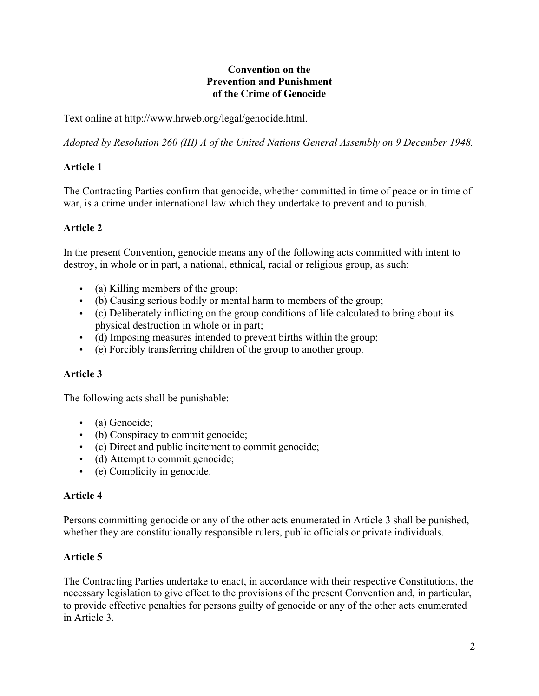## **Convention on the Prevention and Punishment of the Crime of Genocide**

Text online at http://www.hrweb.org/legal/genocide.html.

*Adopted by Resolution 260 (III) A of the United Nations General Assembly on 9 December 1948.*

# **Article 1**

The Contracting Parties confirm that genocide, whether committed in time of peace or in time of war, is a crime under international law which they undertake to prevent and to punish.

# **Article 2**

In the present Convention, genocide means any of the following acts committed with intent to destroy, in whole or in part, a national, ethnical, racial or religious group, as such:

- (a) Killing members of the group;
- (b) Causing serious bodily or mental harm to members of the group;
- (c) Deliberately inflicting on the group conditions of life calculated to bring about its physical destruction in whole or in part;
- (d) Imposing measures intended to prevent births within the group;
- (e) Forcibly transferring children of the group to another group.

# **Article 3**

The following acts shall be punishable:

- (a) Genocide;
- (b) Conspiracy to commit genocide;
- (c) Direct and public incitement to commit genocide;
- (d) Attempt to commit genocide;
- (e) Complicity in genocide.

## **Article 4**

Persons committing genocide or any of the other acts enumerated in Article 3 shall be punished, whether they are constitutionally responsible rulers, public officials or private individuals.

# **Article 5**

The Contracting Parties undertake to enact, in accordance with their respective Constitutions, the necessary legislation to give effect to the provisions of the present Convention and, in particular, to provide effective penalties for persons guilty of genocide or any of the other acts enumerated in Article 3.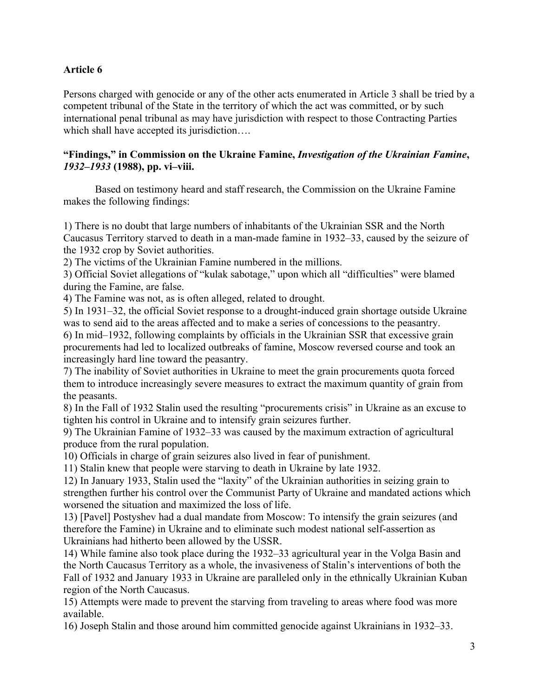## **Article 6**

Persons charged with genocide or any of the other acts enumerated in Article 3 shall be tried by a competent tribunal of the State in the territory of which the act was committed, or by such international penal tribunal as may have jurisdiction with respect to those Contracting Parties which shall have accepted its jurisdiction....

## **"Findings," in Commission on the Ukraine Famine,** *Investigation of the Ukrainian Famine***,**  *1932–1933* **(1988), pp. vi–viii.**

Based on testimony heard and staff research, the Commission on the Ukraine Famine makes the following findings:

1) There is no doubt that large numbers of inhabitants of the Ukrainian SSR and the North Caucasus Territory starved to death in a man-made famine in 1932–33, caused by the seizure of the 1932 crop by Soviet authorities.

2) The victims of the Ukrainian Famine numbered in the millions.

3) Official Soviet allegations of "kulak sabotage," upon which all "difficulties" were blamed during the Famine, are false.

4) The Famine was not, as is often alleged, related to drought.

5) In 1931–32, the official Soviet response to a drought-induced grain shortage outside Ukraine was to send aid to the areas affected and to make a series of concessions to the peasantry.

6) In mid–1932, following complaints by officials in the Ukrainian SSR that excessive grain procurements had led to localized outbreaks of famine, Moscow reversed course and took an increasingly hard line toward the peasantry.

7) The inability of Soviet authorities in Ukraine to meet the grain procurements quota forced them to introduce increasingly severe measures to extract the maximum quantity of grain from the peasants.

8) In the Fall of 1932 Stalin used the resulting "procurements crisis" in Ukraine as an excuse to tighten his control in Ukraine and to intensify grain seizures further.

9) The Ukrainian Famine of 1932–33 was caused by the maximum extraction of agricultural produce from the rural population.

10) Officials in charge of grain seizures also lived in fear of punishment.

11) Stalin knew that people were starving to death in Ukraine by late 1932.

12) In January 1933, Stalin used the "laxity" of the Ukrainian authorities in seizing grain to strengthen further his control over the Communist Party of Ukraine and mandated actions which worsened the situation and maximized the loss of life.

13) [Pavel] Postyshev had a dual mandate from Moscow: To intensify the grain seizures (and therefore the Famine) in Ukraine and to eliminate such modest national self-assertion as Ukrainians had hitherto been allowed by the USSR.

14) While famine also took place during the 1932–33 agricultural year in the Volga Basin and the North Caucasus Territory as a whole, the invasiveness of Stalin's interventions of both the Fall of 1932 and January 1933 in Ukraine are paralleled only in the ethnically Ukrainian Kuban region of the North Caucasus.

15) Attempts were made to prevent the starving from traveling to areas where food was more available.

16) Joseph Stalin and those around him committed genocide against Ukrainians in 1932–33.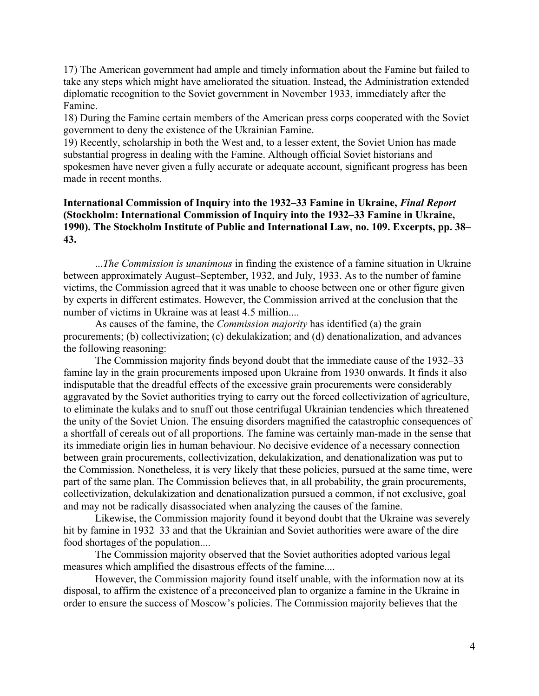17) The American government had ample and timely information about the Famine but failed to take any steps which might have ameliorated the situation. Instead, the Administration extended diplomatic recognition to the Soviet government in November 1933, immediately after the Famine.

18) During the Famine certain members of the American press corps cooperated with the Soviet government to deny the existence of the Ukrainian Famine.

19) Recently, scholarship in both the West and, to a lesser extent, the Soviet Union has made substantial progress in dealing with the Famine. Although official Soviet historians and spokesmen have never given a fully accurate or adequate account, significant progress has been made in recent months.

### **International Commission of Inquiry into the 1932–33 Famine in Ukraine,** *Final Report* **(Stockholm: International Commission of Inquiry into the 1932–33 Famine in Ukraine, 1990). The Stockholm Institute of Public and International Law, no. 109. Excerpts, pp. 38– 43.**

...*The Commission is unanimous* in finding the existence of a famine situation in Ukraine between approximately August–September, 1932, and July, 1933. As to the number of famine victims, the Commission agreed that it was unable to choose between one or other figure given by experts in different estimates. However, the Commission arrived at the conclusion that the number of victims in Ukraine was at least 4.5 million....

As causes of the famine, the *Commission majority* has identified (a) the grain procurements; (b) collectivization; (c) dekulakization; and (d) denationalization, and advances the following reasoning:

The Commission majority finds beyond doubt that the immediate cause of the 1932–33 famine lay in the grain procurements imposed upon Ukraine from 1930 onwards. It finds it also indisputable that the dreadful effects of the excessive grain procurements were considerably aggravated by the Soviet authorities trying to carry out the forced collectivization of agriculture, to eliminate the kulaks and to snuff out those centrifugal Ukrainian tendencies which threatened the unity of the Soviet Union. The ensuing disorders magnified the catastrophic consequences of a shortfall of cereals out of all proportions. The famine was certainly man-made in the sense that its immediate origin lies in human behaviour. No decisive evidence of a necessary connection between grain procurements, collectivization, dekulakization, and denationalization was put to the Commission. Nonetheless, it is very likely that these policies, pursued at the same time, were part of the same plan. The Commission believes that, in all probability, the grain procurements, collectivization, dekulakization and denationalization pursued a common, if not exclusive, goal and may not be radically disassociated when analyzing the causes of the famine.

Likewise, the Commission majority found it beyond doubt that the Ukraine was severely hit by famine in 1932–33 and that the Ukrainian and Soviet authorities were aware of the dire food shortages of the population....

The Commission majority observed that the Soviet authorities adopted various legal measures which amplified the disastrous effects of the famine....

However, the Commission majority found itself unable, with the information now at its disposal, to affirm the existence of a preconceived plan to organize a famine in the Ukraine in order to ensure the success of Moscow's policies. The Commission majority believes that the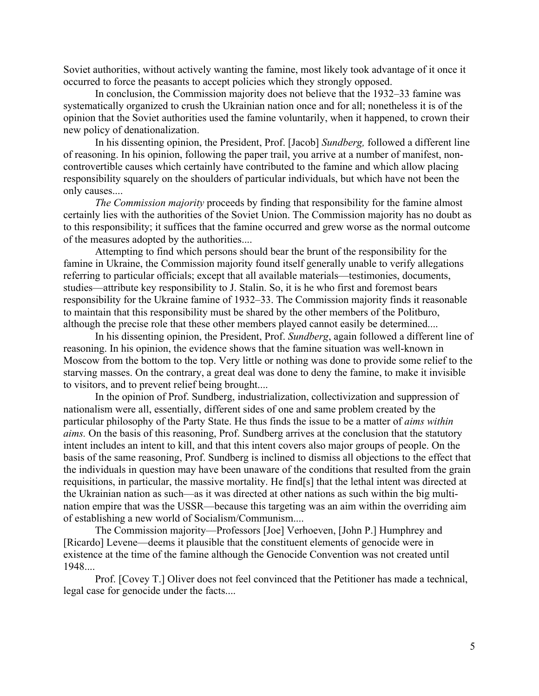Soviet authorities, without actively wanting the famine, most likely took advantage of it once it occurred to force the peasants to accept policies which they strongly opposed.

In conclusion, the Commission majority does not believe that the 1932–33 famine was systematically organized to crush the Ukrainian nation once and for all; nonetheless it is of the opinion that the Soviet authorities used the famine voluntarily, when it happened, to crown their new policy of denationalization.

In his dissenting opinion, the President, Prof. [Jacob] *Sundberg,* followed a different line of reasoning. In his opinion, following the paper trail, you arrive at a number of manifest, noncontrovertible causes which certainly have contributed to the famine and which allow placing responsibility squarely on the shoulders of particular individuals, but which have not been the only causes....

*The Commission majority* proceeds by finding that responsibility for the famine almost certainly lies with the authorities of the Soviet Union. The Commission majority has no doubt as to this responsibility; it suffices that the famine occurred and grew worse as the normal outcome of the measures adopted by the authorities....

Attempting to find which persons should bear the brunt of the responsibility for the famine in Ukraine, the Commission majority found itself generally unable to verify allegations referring to particular officials; except that all available materials—testimonies, documents, studies—attribute key responsibility to J. Stalin. So, it is he who first and foremost bears responsibility for the Ukraine famine of 1932–33. The Commission majority finds it reasonable to maintain that this responsibility must be shared by the other members of the Politburo, although the precise role that these other members played cannot easily be determined....

In his dissenting opinion, the President, Prof. *Sundberg*, again followed a different line of reasoning. In his opinion, the evidence shows that the famine situation was well-known in Moscow from the bottom to the top. Very little or nothing was done to provide some relief to the starving masses. On the contrary, a great deal was done to deny the famine, to make it invisible to visitors, and to prevent relief being brought....

In the opinion of Prof. Sundberg, industrialization, collectivization and suppression of nationalism were all, essentially, different sides of one and same problem created by the particular philosophy of the Party State. He thus finds the issue to be a matter of *aims within aims.* On the basis of this reasoning, Prof. Sundberg arrives at the conclusion that the statutory intent includes an intent to kill, and that this intent covers also major groups of people. On the basis of the same reasoning, Prof. Sundberg is inclined to dismiss all objections to the effect that the individuals in question may have been unaware of the conditions that resulted from the grain requisitions, in particular, the massive mortality. He find[s] that the lethal intent was directed at the Ukrainian nation as such—as it was directed at other nations as such within the big multination empire that was the USSR—because this targeting was an aim within the overriding aim of establishing a new world of Socialism/Communism....

The Commission majority—Professors [Joe] Verhoeven, [John P.] Humphrey and [Ricardo] Levene—deems it plausible that the constituent elements of genocide were in existence at the time of the famine although the Genocide Convention was not created until 1948....

Prof. [Covey T.] Oliver does not feel convinced that the Petitioner has made a technical, legal case for genocide under the facts....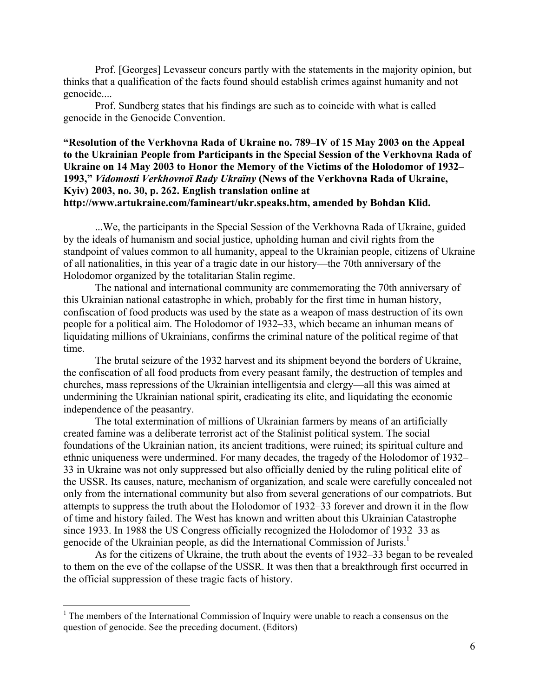Prof. [Georges] Levasseur concurs partly with the statements in the majority opinion, but thinks that a qualification of the facts found should establish crimes against humanity and not genocide....

Prof. Sundberg states that his findings are such as to coincide with what is called genocide in the Genocide Convention.

## **"Resolution of the Verkhovna Rada of Ukraine no. 789–IV of 15 May 2003 on the Appeal to the Ukrainian People from Participants in the Special Session of the Verkhovna Rada of Ukraine on 14 May 2003 to Honor the Memory of the Victims of the Holodomor of 1932– 1993,"** *Vidomosti Verkhovnoï Rady Ukraïny* **(News of the Verkhovna Rada of Ukraine, Kyiv) 2003, no. 30, p. 262. English translation online at http://www.artukraine.com/famineart/ukr.speaks.htm, amended by Bohdan Klid.**

...We, the participants in the Special Session of the Verkhovna Rada of Ukraine, guided by the ideals of humanism and social justice, upholding human and civil rights from the standpoint of values common to all humanity, appeal to the Ukrainian people, citizens of Ukraine of all nationalities, in this year of a tragic date in our history—the 70th anniversary of the Holodomor organized by the totalitarian Stalin regime.

The national and international community are commemorating the 70th anniversary of this Ukrainian national catastrophe in which, probably for the first time in human history, confiscation of food products was used by the state as a weapon of mass destruction of its own people for a political aim. The Holodomor of 1932–33, which became an inhuman means of liquidating millions of Ukrainians, confirms the criminal nature of the political regime of that time.

The brutal seizure of the 1932 harvest and its shipment beyond the borders of Ukraine, the confiscation of all food products from every peasant family, the destruction of temples and churches, mass repressions of the Ukrainian intelligentsia and clergy—all this was aimed at undermining the Ukrainian national spirit, eradicating its elite, and liquidating the economic independence of the peasantry.

The total extermination of millions of Ukrainian farmers by means of an artificially created famine was a deliberate terrorist act of the Stalinist political system. The social foundations of the Ukrainian nation, its ancient traditions, were ruined; its spiritual culture and ethnic uniqueness were undermined. For many decades, the tragedy of the Holodomor of 1932– 33 in Ukraine was not only suppressed but also officially denied by the ruling political elite of the USSR. Its causes, nature, mechanism of organization, and scale were carefully concealed not only from the international community but also from several generations of our compatriots. But attempts to suppress the truth about the Holodomor of 1932–33 forever and drown it in the flow of time and history failed. The West has known and written about this Ukrainian Catastrophe since 1933. In 1988 the US Congress officially recognized the Holodomor of 1932–33 as genocide of the Ukrainian people, as did the International Commission of Jurists.<sup>1</sup>

As for the citizens of Ukraine, the truth about the events of 1932–33 began to be revealed to them on the eve of the collapse of the USSR. It was then that a breakthrough first occurred in the official suppression of these tragic facts of history.

 $1$ <sup>1</sup> The members of the International Commission of Inquiry were unable to reach a consensus on the question of genocide. See the preceding document. (Editors)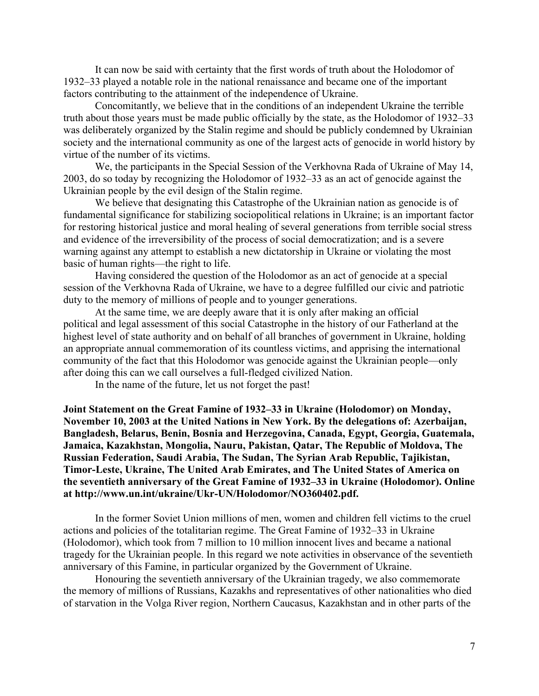It can now be said with certainty that the first words of truth about the Holodomor of 1932–33 played a notable role in the national renaissance and became one of the important factors contributing to the attainment of the independence of Ukraine.

Concomitantly, we believe that in the conditions of an independent Ukraine the terrible truth about those years must be made public officially by the state, as the Holodomor of 1932–33 was deliberately organized by the Stalin regime and should be publicly condemned by Ukrainian society and the international community as one of the largest acts of genocide in world history by virtue of the number of its victims.

We, the participants in the Special Session of the Verkhovna Rada of Ukraine of May 14, 2003, do so today by recognizing the Holodomor of 1932–33 as an act of genocide against the Ukrainian people by the evil design of the Stalin regime.

We believe that designating this Catastrophe of the Ukrainian nation as genocide is of fundamental significance for stabilizing sociopolitical relations in Ukraine; is an important factor for restoring historical justice and moral healing of several generations from terrible social stress and evidence of the irreversibility of the process of social democratization; and is a severe warning against any attempt to establish a new dictatorship in Ukraine or violating the most basic of human rights—the right to life.

Having considered the question of the Holodomor as an act of genocide at a special session of the Verkhovna Rada of Ukraine, we have to a degree fulfilled our civic and patriotic duty to the memory of millions of people and to younger generations.

At the same time, we are deeply aware that it is only after making an official political and legal assessment of this social Catastrophe in the history of our Fatherland at the highest level of state authority and on behalf of all branches of government in Ukraine, holding an appropriate annual commemoration of its countless victims, and apprising the international community of the fact that this Holodomor was genocide against the Ukrainian people—only after doing this can we call ourselves a full-fledged civilized Nation.

In the name of the future, let us not forget the past!

**Joint Statement on the Great Famine of 1932–33 in Ukraine (Holodomor) on Monday, November 10, 2003 at the United Nations in New York. By the delegations of: Azerbaijan, Bangladesh, Belarus, Benin, Bosnia and Herzegovina, Canada, Egypt, Georgia, Guatemala, Jamaica, Kazakhstan, Mongolia, Nauru, Pakistan, Qatar, The Republic of Moldova, The Russian Federation, Saudi Arabia, The Sudan, The Syrian Arab Republic, Tajikistan, Timor-Leste, Ukraine, The United Arab Emirates, and The United States of America on the seventieth anniversary of the Great Famine of 1932–33 in Ukraine (Holodomor). Online at http://www.un.int/ukraine/Ukr-UN/Holodomor/NO360402.pdf.**

In the former Soviet Union millions of men, women and children fell victims to the cruel actions and policies of the totalitarian regime. The Great Famine of 1932–33 in Ukraine (Holodomor), which took from 7 million to 10 million innocent lives and became a national tragedy for the Ukrainian people. In this regard we note activities in observance of the seventieth anniversary of this Famine, in particular organized by the Government of Ukraine.

Honouring the seventieth anniversary of the Ukrainian tragedy, we also commemorate the memory of millions of Russians, Kazakhs and representatives of other nationalities who died of starvation in the Volga River region, Northern Caucasus, Kazakhstan and in other parts of the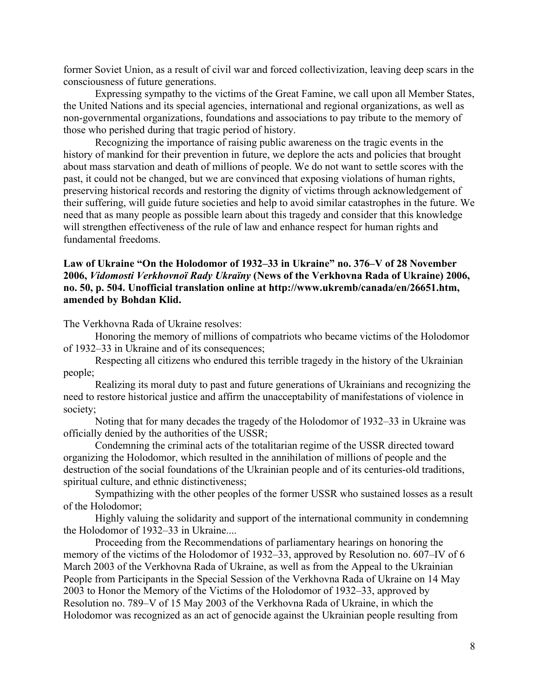former Soviet Union, as a result of civil war and forced collectivization, leaving deep scars in the consciousness of future generations.

Expressing sympathy to the victims of the Great Famine, we call upon all Member States, the United Nations and its special agencies, international and regional organizations, as well as non-governmental organizations, foundations and associations to pay tribute to the memory of those who perished during that tragic period of history.

Recognizing the importance of raising public awareness on the tragic events in the history of mankind for their prevention in future, we deplore the acts and policies that brought about mass starvation and death of millions of people. We do not want to settle scores with the past, it could not be changed, but we are convinced that exposing violations of human rights, preserving historical records and restoring the dignity of victims through acknowledgement of their suffering, will guide future societies and help to avoid similar catastrophes in the future. We need that as many people as possible learn about this tragedy and consider that this knowledge will strengthen effectiveness of the rule of law and enhance respect for human rights and fundamental freedoms.

### **Law of Ukraine "On the Holodomor of 1932–33 in Ukraine" no. 376–V of 28 November 2006,** *Vidomosti Verkhovnoï Rady Ukraïny* **(News of the Verkhovna Rada of Ukraine) 2006, no. 50, p. 504. Unofficial translation online at http://www.ukremb/canada/en/26651.htm, amended by Bohdan Klid.**

The Verkhovna Rada of Ukraine resolves:

Honoring the memory of millions of compatriots who became victims of the Holodomor of 1932–33 in Ukraine and of its consequences;

Respecting all citizens who endured this terrible tragedy in the history of the Ukrainian people;

Realizing its moral duty to past and future generations of Ukrainians and recognizing the need to restore historical justice and affirm the unacceptability of manifestations of violence in society;

Noting that for many decades the tragedy of the Holodomor of 1932–33 in Ukraine was officially denied by the authorities of the USSR;

Condemning the criminal acts of the totalitarian regime of the USSR directed toward organizing the Holodomor, which resulted in the annihilation of millions of people and the destruction of the social foundations of the Ukrainian people and of its centuries-old traditions, spiritual culture, and ethnic distinctiveness;

Sympathizing with the other peoples of the former USSR who sustained losses as a result of the Holodomor;

Highly valuing the solidarity and support of the international community in condemning the Holodomor of 1932–33 in Ukraine....

Proceeding from the Recommendations of parliamentary hearings on honoring the memory of the victims of the Holodomor of 1932–33, approved by Resolution no. 607–IV of 6 March 2003 of the Verkhovna Rada of Ukraine, as well as from the Appeal to the Ukrainian People from Participants in the Special Session of the Verkhovna Rada of Ukraine on 14 May 2003 to Honor the Memory of the Victims of the Holodomor of 1932–33, approved by Resolution no. 789–V of 15 May 2003 of the Verkhovna Rada of Ukraine, in which the Holodomor was recognized as an act of genocide against the Ukrainian people resulting from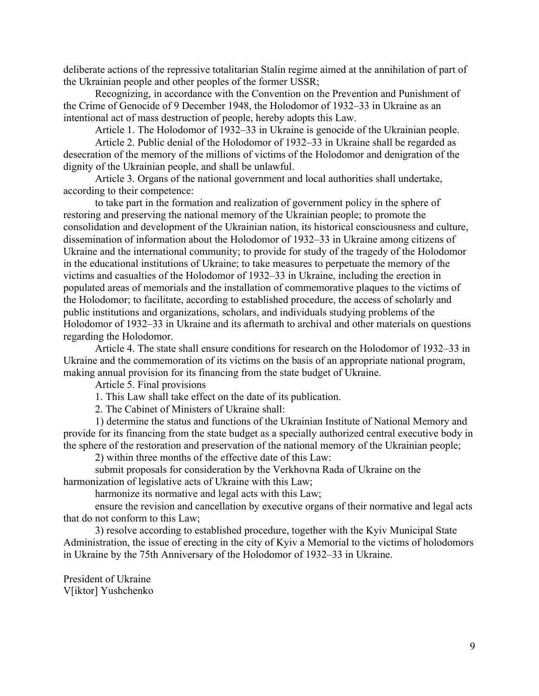deliberate actions of the repressive totalitarian Stalin regime aimed at the annihilation of part of the Ukrainian people and other peoples of the former USSR;

Recognizing, in accordance with the Convention on the Prevention and Punishment of the Crime of Genocide of 9 December 1948, the Holodomor of 1932–33 in Ukraine as an intentional act of mass destruction of people, hereby adopts this Law.

Article 1. The Holodomor of 1932–33 in Ukraine is genocide of the Ukrainian people.

Article 2. Public denial of the Holodomor of 1932–33 in Ukraine shall be regarded as desecration of the memory of the millions of victims of the Holodomor and denigration of the dignity of the Ukrainian people, and shall be unlawful.

Article 3. Organs of the national government and local authorities shall undertake, according to their competence:

to take part in the formation and realization of government policy in the sphere of restoring and preserving the national memory of the Ukrainian people; to promote the consolidation and development of the Ukrainian nation, its historical consciousness and culture, dissemination of information about the Holodomor of 1932–33 in Ukraine among citizens of Ukraine and the international community; to provide for study of the tragedy of the Holodomor in the educational institutions of Ukraine; to take measures to perpetuate the memory of the victims and casualties of the Holodomor of 1932–33 in Ukraine, including the erection in populated areas of memorials and the installation of commemorative plaques to the victims of the Holodomor; to facilitate, according to established procedure, the access of scholarly and public institutions and organizations, scholars, and individuals studying problems of the Holodomor of 1932–33 in Ukraine and its aftermath to archival and other materials on questions regarding the Holodomor.

Article 4. The state shall ensure conditions for research on the Holodomor of 1932–33 in Ukraine and the commemoration of its victims on the basis of an appropriate national program, making annual provision for its financing from the state budget of Ukraine.

Article 5. Final provisions

1. This Law shall take effect on the date of its publication.

2. The Cabinet of Ministers of Ukraine shall:

1) determine the status and functions of the Ukrainian Institute of National Memory and provide for its financing from the state budget as a specially authorized central executive body in the sphere of the restoration and preservation of the national memory of the Ukrainian people;

2) within three months of the effective date of this Law:

submit proposals for consideration by the Verkhovna Rada of Ukraine on the harmonization of legislative acts of Ukraine with this Law;

harmonize its normative and legal acts with this Law;

ensure the revision and cancellation by executive organs of their normative and legal acts that do not conform to this Law;

3) resolve according to established procedure, together with the Kyiv Municipal State Administration, the issue of erecting in the city of Kyiv a Memorial to the victims of holodomors in Ukraine by the 75th Anniversary of the Holodomor of 1932–33 in Ukraine.

President of Ukraine V[iktor] Yushchenko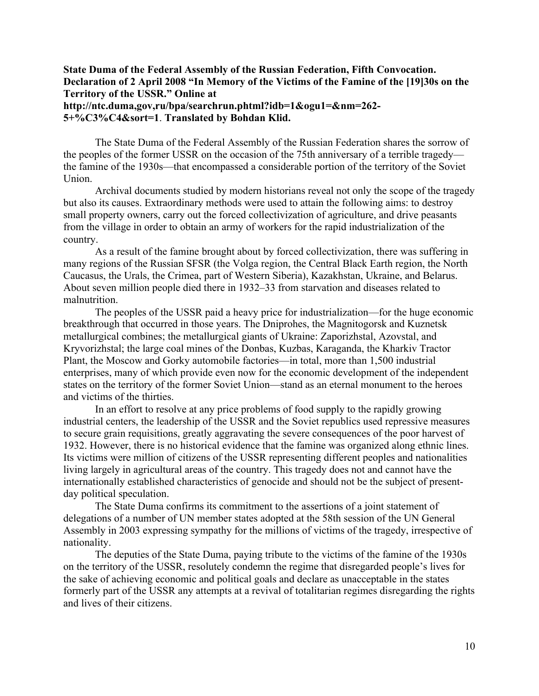## **State Duma of the Federal Assembly of the Russian Federation, Fifth Convocation. Declaration of 2 April 2008 "In Memory of the Victims of the Famine of the [19]30s on the Territory of the USSR." Online at http://ntc.duma,gov,ru/bpa/searchrun.phtml?idb=1&ogu1=&nm=262- 5+%C3%C4&sort=1**. **Translated by Bohdan Klid.**

The State Duma of the Federal Assembly of the Russian Federation shares the sorrow of the peoples of the former USSR on the occasion of the 75th anniversary of a terrible tragedy the famine of the 1930s—that encompassed a considerable portion of the territory of the Soviet Union.

Archival documents studied by modern historians reveal not only the scope of the tragedy but also its causes. Extraordinary methods were used to attain the following aims: to destroy small property owners, carry out the forced collectivization of agriculture, and drive peasants from the village in order to obtain an army of workers for the rapid industrialization of the country.

As a result of the famine brought about by forced collectivization, there was suffering in many regions of the Russian SFSR (the Volga region, the Central Black Earth region, the North Caucasus, the Urals, the Crimea, part of Western Siberia), Kazakhstan, Ukraine, and Belarus. About seven million people died there in 1932–33 from starvation and diseases related to malnutrition.

The peoples of the USSR paid a heavy price for industrialization—for the huge economic breakthrough that occurred in those years. The Dniprohes, the Magnitogorsk and Kuznetsk metallurgical combines; the metallurgical giants of Ukraine: Zaporizhstal, Azovstal, and Kryvorizhstal; the large coal mines of the Donbas, Kuzbas, Karaganda, the Kharkiv Tractor Plant, the Moscow and Gorky automobile factories—in total, more than 1,500 industrial enterprises, many of which provide even now for the economic development of the independent states on the territory of the former Soviet Union—stand as an eternal monument to the heroes and victims of the thirties.

In an effort to resolve at any price problems of food supply to the rapidly growing industrial centers, the leadership of the USSR and the Soviet republics used repressive measures to secure grain requisitions, greatly aggravating the severe consequences of the poor harvest of 1932. However, there is no historical evidence that the famine was organized along ethnic lines. Its victims were million of citizens of the USSR representing different peoples and nationalities living largely in agricultural areas of the country. This tragedy does not and cannot have the internationally established characteristics of genocide and should not be the subject of presentday political speculation.

The State Duma confirms its commitment to the assertions of a joint statement of delegations of a number of UN member states adopted at the 58th session of the UN General Assembly in 2003 expressing sympathy for the millions of victims of the tragedy, irrespective of nationality.

The deputies of the State Duma, paying tribute to the victims of the famine of the 1930s on the territory of the USSR, resolutely condemn the regime that disregarded people's lives for the sake of achieving economic and political goals and declare as unacceptable in the states formerly part of the USSR any attempts at a revival of totalitarian regimes disregarding the rights and lives of their citizens.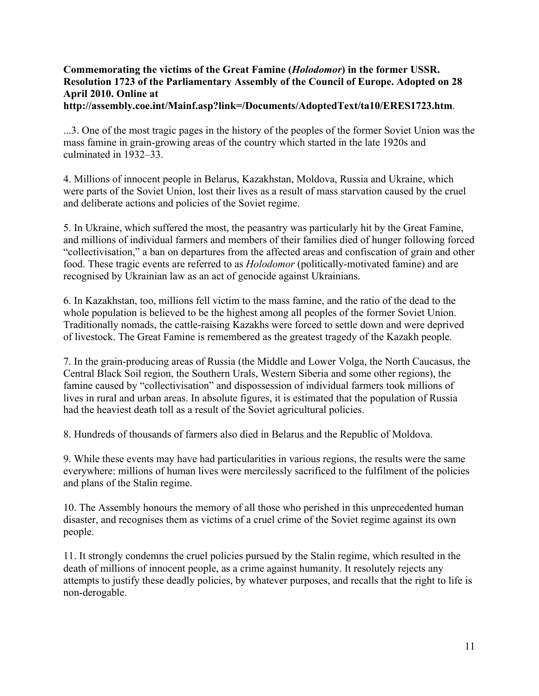# **Commemorating the victims of the Great Famine (***Holodomor***) in the former USSR. Resolution 1723 of the Parliamentary Assembly of the Council of Europe. Adopted on 28 April 2010. Online at**

**http://assembly.coe.int/Mainf.asp?link=/Documents/AdoptedText/ta10/ERES1723.htm**.

...3. One of the most tragic pages in the history of the peoples of the former Soviet Union was the mass famine in grain-growing areas of the country which started in the late 1920s and culminated in 1932–33.

4. Millions of innocent people in Belarus, Kazakhstan, Moldova, Russia and Ukraine, which were parts of the Soviet Union, lost their lives as a result of mass starvation caused by the cruel and deliberate actions and policies of the Soviet regime.

5. In Ukraine, which suffered the most, the peasantry was particularly hit by the Great Famine, and millions of individual farmers and members of their families died of hunger following forced "collectivisation," a ban on departures from the affected areas and confiscation of grain and other food. These tragic events are referred to as *Holodomor* (politically-motivated famine) and are recognised by Ukrainian law as an act of genocide against Ukrainians.

6. In Kazakhstan, too, millions fell victim to the mass famine, and the ratio of the dead to the whole population is believed to be the highest among all peoples of the former Soviet Union. Traditionally nomads, the cattle-raising Kazakhs were forced to settle down and were deprived of livestock. The Great Famine is remembered as the greatest tragedy of the Kazakh people.

7. In the grain-producing areas of Russia (the Middle and Lower Volga, the North Caucasus, the Central Black Soil region, the Southern Urals, Western Siberia and some other regions), the famine caused by "collectivisation" and dispossession of individual farmers took millions of lives in rural and urban areas. In absolute figures, it is estimated that the population of Russia had the heaviest death toll as a result of the Soviet agricultural policies.

8. Hundreds of thousands of farmers also died in Belarus and the Republic of Moldova.

9. While these events may have had particularities in various regions, the results were the same everywhere: millions of human lives were mercilessly sacrificed to the fulfilment of the policies and plans of the Stalin regime.

10. The Assembly honours the memory of all those who perished in this unprecedented human disaster, and recognises them as victims of a cruel crime of the Soviet regime against its own people.

11. It strongly condemns the cruel policies pursued by the Stalin regime, which resulted in the death of millions of innocent people, as a crime against humanity. It resolutely rejects any attempts to justify these deadly policies, by whatever purposes, and recalls that the right to life is non-derogable.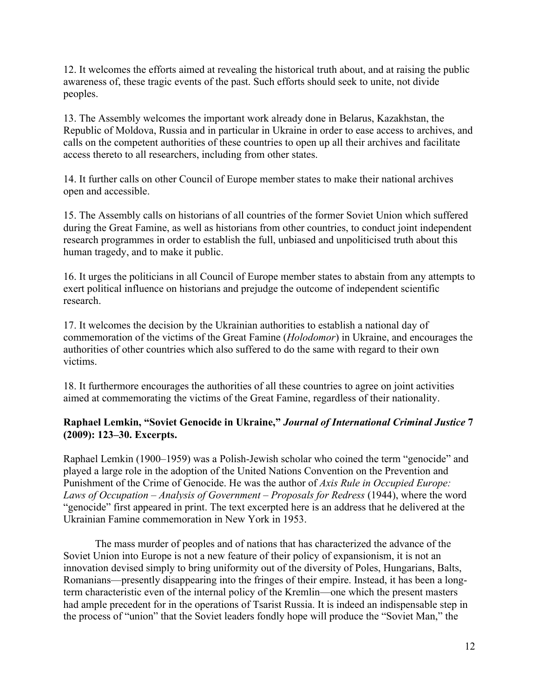12. It welcomes the efforts aimed at revealing the historical truth about, and at raising the public awareness of, these tragic events of the past. Such efforts should seek to unite, not divide peoples.

13. The Assembly welcomes the important work already done in Belarus, Kazakhstan, the Republic of Moldova, Russia and in particular in Ukraine in order to ease access to archives, and calls on the competent authorities of these countries to open up all their archives and facilitate access thereto to all researchers, including from other states.

14. It further calls on other Council of Europe member states to make their national archives open and accessible.

15. The Assembly calls on historians of all countries of the former Soviet Union which suffered during the Great Famine, as well as historians from other countries, to conduct joint independent research programmes in order to establish the full, unbiased and unpoliticised truth about this human tragedy, and to make it public.

16. It urges the politicians in all Council of Europe member states to abstain from any attempts to exert political influence on historians and prejudge the outcome of independent scientific research.

17. It welcomes the decision by the Ukrainian authorities to establish a national day of commemoration of the victims of the Great Famine (*Holodomor*) in Ukraine, and encourages the authorities of other countries which also suffered to do the same with regard to their own victims.

18. It furthermore encourages the authorities of all these countries to agree on joint activities aimed at commemorating the victims of the Great Famine, regardless of their nationality.

## **Raphael Lemkin, "Soviet Genocide in Ukraine,"** *Journal of International Criminal Justice* **7 (2009): 123–30. Excerpts.**

Raphael Lemkin (1900–1959) was a Polish-Jewish scholar who coined the term "genocide" and played a large role in the adoption of the United Nations Convention on the Prevention and Punishment of the Crime of Genocide. He was the author of *Axis Rule in Occupied Europe: Laws of Occupation – Analysis of Government – Proposals for Redress* (1944), where the word "genocide" first appeared in print. The text excerpted here is an address that he delivered at the Ukrainian Famine commemoration in New York in 1953.

The mass murder of peoples and of nations that has characterized the advance of the Soviet Union into Europe is not a new feature of their policy of expansionism, it is not an innovation devised simply to bring uniformity out of the diversity of Poles, Hungarians, Balts, Romanians—presently disappearing into the fringes of their empire. Instead, it has been a longterm characteristic even of the internal policy of the Kremlin—one which the present masters had ample precedent for in the operations of Tsarist Russia. It is indeed an indispensable step in the process of "union" that the Soviet leaders fondly hope will produce the "Soviet Man," the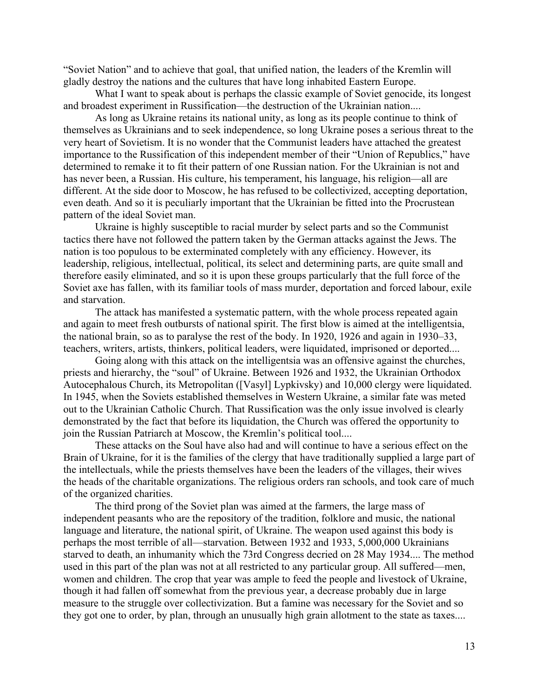"Soviet Nation" and to achieve that goal, that unified nation, the leaders of the Kremlin will gladly destroy the nations and the cultures that have long inhabited Eastern Europe.

What I want to speak about is perhaps the classic example of Soviet genocide, its longest and broadest experiment in Russification—the destruction of the Ukrainian nation....

As long as Ukraine retains its national unity, as long as its people continue to think of themselves as Ukrainians and to seek independence, so long Ukraine poses a serious threat to the very heart of Sovietism. It is no wonder that the Communist leaders have attached the greatest importance to the Russification of this independent member of their "Union of Republics," have determined to remake it to fit their pattern of one Russian nation. For the Ukrainian is not and has never been, a Russian. His culture, his temperament, his language, his religion—all are different. At the side door to Moscow, he has refused to be collectivized, accepting deportation, even death. And so it is peculiarly important that the Ukrainian be fitted into the Procrustean pattern of the ideal Soviet man.

Ukraine is highly susceptible to racial murder by select parts and so the Communist tactics there have not followed the pattern taken by the German attacks against the Jews. The nation is too populous to be exterminated completely with any efficiency. However, its leadership, religious, intellectual, political, its select and determining parts, are quite small and therefore easily eliminated, and so it is upon these groups particularly that the full force of the Soviet axe has fallen, with its familiar tools of mass murder, deportation and forced labour, exile and starvation.

The attack has manifested a systematic pattern, with the whole process repeated again and again to meet fresh outbursts of national spirit. The first blow is aimed at the intelligentsia, the national brain, so as to paralyse the rest of the body. In 1920, 1926 and again in 1930–33, teachers, writers, artists, thinkers, political leaders, were liquidated, imprisoned or deported....

Going along with this attack on the intelligentsia was an offensive against the churches, priests and hierarchy, the "soul" of Ukraine. Between 1926 and 1932, the Ukrainian Orthodox Autocephalous Church, its Metropolitan ([Vasyl] Lypkivsky) and 10,000 clergy were liquidated. In 1945, when the Soviets established themselves in Western Ukraine, a similar fate was meted out to the Ukrainian Catholic Church. That Russification was the only issue involved is clearly demonstrated by the fact that before its liquidation, the Church was offered the opportunity to join the Russian Patriarch at Moscow, the Kremlin's political tool....

These attacks on the Soul have also had and will continue to have a serious effect on the Brain of Ukraine, for it is the families of the clergy that have traditionally supplied a large part of the intellectuals, while the priests themselves have been the leaders of the villages, their wives the heads of the charitable organizations. The religious orders ran schools, and took care of much of the organized charities.

The third prong of the Soviet plan was aimed at the farmers, the large mass of independent peasants who are the repository of the tradition, folklore and music, the national language and literature, the national spirit, of Ukraine. The weapon used against this body is perhaps the most terrible of all—starvation. Between 1932 and 1933, 5,000,000 Ukrainians starved to death, an inhumanity which the 73rd Congress decried on 28 May 1934.... The method used in this part of the plan was not at all restricted to any particular group. All suffered—men, women and children. The crop that year was ample to feed the people and livestock of Ukraine, though it had fallen off somewhat from the previous year, a decrease probably due in large measure to the struggle over collectivization. But a famine was necessary for the Soviet and so they got one to order, by plan, through an unusually high grain allotment to the state as taxes....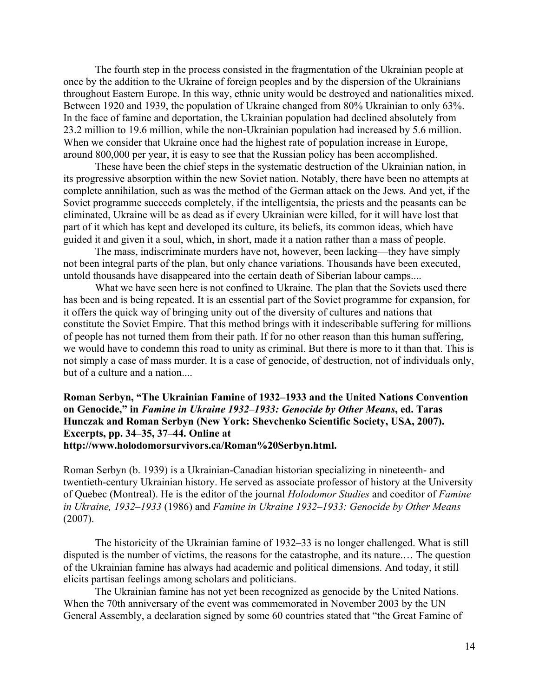The fourth step in the process consisted in the fragmentation of the Ukrainian people at once by the addition to the Ukraine of foreign peoples and by the dispersion of the Ukrainians throughout Eastern Europe. In this way, ethnic unity would be destroyed and nationalities mixed. Between 1920 and 1939, the population of Ukraine changed from 80% Ukrainian to only 63%. In the face of famine and deportation, the Ukrainian population had declined absolutely from 23.2 million to 19.6 million, while the non-Ukrainian population had increased by 5.6 million. When we consider that Ukraine once had the highest rate of population increase in Europe, around 800,000 per year, it is easy to see that the Russian policy has been accomplished.

These have been the chief steps in the systematic destruction of the Ukrainian nation, in its progressive absorption within the new Soviet nation. Notably, there have been no attempts at complete annihilation, such as was the method of the German attack on the Jews. And yet, if the Soviet programme succeeds completely, if the intelligentsia, the priests and the peasants can be eliminated, Ukraine will be as dead as if every Ukrainian were killed, for it will have lost that part of it which has kept and developed its culture, its beliefs, its common ideas, which have guided it and given it a soul, which, in short, made it a nation rather than a mass of people.

The mass, indiscriminate murders have not, however, been lacking—they have simply not been integral parts of the plan, but only chance variations. Thousands have been executed, untold thousands have disappeared into the certain death of Siberian labour camps....

What we have seen here is not confined to Ukraine. The plan that the Soviets used there has been and is being repeated. It is an essential part of the Soviet programme for expansion, for it offers the quick way of bringing unity out of the diversity of cultures and nations that constitute the Soviet Empire. That this method brings with it indescribable suffering for millions of people has not turned them from their path. If for no other reason than this human suffering, we would have to condemn this road to unity as criminal. But there is more to it than that. This is not simply a case of mass murder. It is a case of genocide, of destruction, not of individuals only, but of a culture and a nation....

**Roman Serbyn, "The Ukrainian Famine of 1932–1933 and the United Nations Convention on Genocide," in** *Famine in Ukraine 1932–1933: Genocide by Other Means***, ed. Taras Hunczak and Roman Serbyn (New York: Shevchenko Scientific Society, USA, 2007). Excerpts, pp. 34–35, 37–44. Online at http://www.holodomorsurvivors.ca/Roman%20Serbyn.html.**

Roman Serbyn (b. 1939) is a Ukrainian-Canadian historian specializing in nineteenth- and twentieth-century Ukrainian history. He served as associate professor of history at the University of Quebec (Montreal). He is the editor of the journal *Holodomor Studies* and coeditor of *Famine in Ukraine, 1932–1933* (1986) and *Famine in Ukraine 1932–1933: Genocide by Other Means* (2007).

The historicity of the Ukrainian famine of 1932–33 is no longer challenged. What is still disputed is the number of victims, the reasons for the catastrophe, and its nature.… The question of the Ukrainian famine has always had academic and political dimensions. And today, it still elicits partisan feelings among scholars and politicians.

The Ukrainian famine has not yet been recognized as genocide by the United Nations. When the 70th anniversary of the event was commemorated in November 2003 by the UN General Assembly, a declaration signed by some 60 countries stated that "the Great Famine of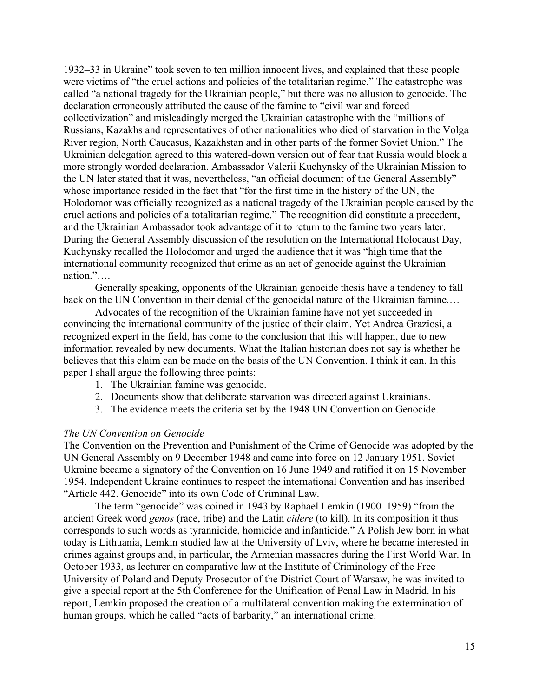1932–33 in Ukraine" took seven to ten million innocent lives, and explained that these people were victims of "the cruel actions and policies of the totalitarian regime." The catastrophe was called "a national tragedy for the Ukrainian people," but there was no allusion to genocide. The declaration erroneously attributed the cause of the famine to "civil war and forced collectivization" and misleadingly merged the Ukrainian catastrophe with the "millions of Russians, Kazakhs and representatives of other nationalities who died of starvation in the Volga River region, North Caucasus, Kazakhstan and in other parts of the former Soviet Union." The Ukrainian delegation agreed to this watered-down version out of fear that Russia would block a more strongly worded declaration. Ambassador Valerii Kuchynsky of the Ukrainian Mission to the UN later stated that it was, nevertheless, "an official document of the General Assembly" whose importance resided in the fact that "for the first time in the history of the UN, the Holodomor was officially recognized as a national tragedy of the Ukrainian people caused by the cruel actions and policies of a totalitarian regime." The recognition did constitute a precedent, and the Ukrainian Ambassador took advantage of it to return to the famine two years later. During the General Assembly discussion of the resolution on the International Holocaust Day, Kuchynsky recalled the Holodomor and urged the audience that it was "high time that the international community recognized that crime as an act of genocide against the Ukrainian nation."….

Generally speaking, opponents of the Ukrainian genocide thesis have a tendency to fall back on the UN Convention in their denial of the genocidal nature of the Ukrainian famine....

Advocates of the recognition of the Ukrainian famine have not yet succeeded in convincing the international community of the justice of their claim. Yet Andrea Graziosi, a recognized expert in the field, has come to the conclusion that this will happen, due to new information revealed by new documents. What the Italian historian does not say is whether he believes that this claim can be made on the basis of the UN Convention. I think it can. In this paper I shall argue the following three points:

- 1. The Ukrainian famine was genocide.
- 2. Documents show that deliberate starvation was directed against Ukrainians.
- 3. The evidence meets the criteria set by the 1948 UN Convention on Genocide.

#### *The UN Convention on Genocide*

The Convention on the Prevention and Punishment of the Crime of Genocide was adopted by the UN General Assembly on 9 December 1948 and came into force on 12 January 1951. Soviet Ukraine became a signatory of the Convention on 16 June 1949 and ratified it on 15 November 1954. Independent Ukraine continues to respect the international Convention and has inscribed "Article 442. Genocide" into its own Code of Criminal Law.

The term "genocide" was coined in 1943 by Raphael Lemkin (1900–1959) "from the ancient Greek word *genos* (race, tribe) and the Latin *cidere* (to kill). In its composition it thus corresponds to such words as tyrannicide, homicide and infanticide." A Polish Jew born in what today is Lithuania, Lemkin studied law at the University of Lviv, where he became interested in crimes against groups and, in particular, the Armenian massacres during the First World War. In October 1933, as lecturer on comparative law at the Institute of Criminology of the Free University of Poland and Deputy Prosecutor of the District Court of Warsaw, he was invited to give a special report at the 5th Conference for the Unification of Penal Law in Madrid. In his report, Lemkin proposed the creation of a multilateral convention making the extermination of human groups, which he called "acts of barbarity," an international crime.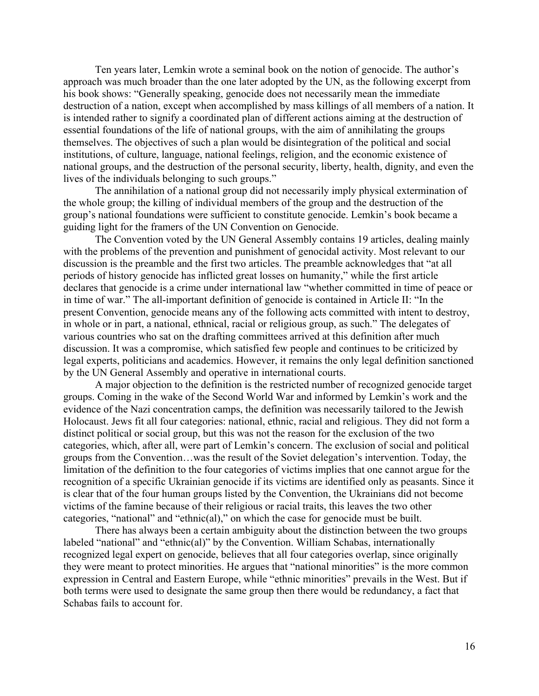Ten years later, Lemkin wrote a seminal book on the notion of genocide. The author's approach was much broader than the one later adopted by the UN, as the following excerpt from his book shows: "Generally speaking, genocide does not necessarily mean the immediate destruction of a nation, except when accomplished by mass killings of all members of a nation. It is intended rather to signify a coordinated plan of different actions aiming at the destruction of essential foundations of the life of national groups, with the aim of annihilating the groups themselves. The objectives of such a plan would be disintegration of the political and social institutions, of culture, language, national feelings, religion, and the economic existence of national groups, and the destruction of the personal security, liberty, health, dignity, and even the lives of the individuals belonging to such groups."

The annihilation of a national group did not necessarily imply physical extermination of the whole group; the killing of individual members of the group and the destruction of the group's national foundations were sufficient to constitute genocide. Lemkin's book became a guiding light for the framers of the UN Convention on Genocide.

The Convention voted by the UN General Assembly contains 19 articles, dealing mainly with the problems of the prevention and punishment of genocidal activity. Most relevant to our discussion is the preamble and the first two articles. The preamble acknowledges that "at all periods of history genocide has inflicted great losses on humanity," while the first article declares that genocide is a crime under international law "whether committed in time of peace or in time of war." The all-important definition of genocide is contained in Article II: "In the present Convention, genocide means any of the following acts committed with intent to destroy, in whole or in part, a national, ethnical, racial or religious group, as such." The delegates of various countries who sat on the drafting committees arrived at this definition after much discussion. It was a compromise, which satisfied few people and continues to be criticized by legal experts, politicians and academics. However, it remains the only legal definition sanctioned by the UN General Assembly and operative in international courts.

A major objection to the definition is the restricted number of recognized genocide target groups. Coming in the wake of the Second World War and informed by Lemkin's work and the evidence of the Nazi concentration camps, the definition was necessarily tailored to the Jewish Holocaust. Jews fit all four categories: national, ethnic, racial and religious. They did not form a distinct political or social group, but this was not the reason for the exclusion of the two categories, which, after all, were part of Lemkin's concern. The exclusion of social and political groups from the Convention…was the result of the Soviet delegation's intervention. Today, the limitation of the definition to the four categories of victims implies that one cannot argue for the recognition of a specific Ukrainian genocide if its victims are identified only as peasants. Since it is clear that of the four human groups listed by the Convention, the Ukrainians did not become victims of the famine because of their religious or racial traits, this leaves the two other categories, "national" and "ethnic(al)," on which the case for genocide must be built.

There has always been a certain ambiguity about the distinction between the two groups labeled "national" and "ethnic(al)" by the Convention. William Schabas, internationally recognized legal expert on genocide, believes that all four categories overlap, since originally they were meant to protect minorities. He argues that "national minorities" is the more common expression in Central and Eastern Europe, while "ethnic minorities" prevails in the West. But if both terms were used to designate the same group then there would be redundancy, a fact that Schabas fails to account for.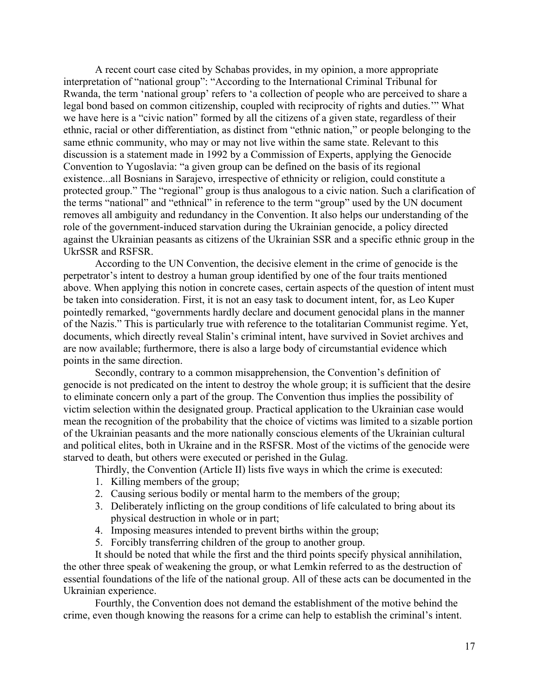A recent court case cited by Schabas provides, in my opinion, a more appropriate interpretation of "national group": "According to the International Criminal Tribunal for Rwanda, the term 'national group' refers to 'a collection of people who are perceived to share a legal bond based on common citizenship, coupled with reciprocity of rights and duties.'" What we have here is a "civic nation" formed by all the citizens of a given state, regardless of their ethnic, racial or other differentiation, as distinct from "ethnic nation," or people belonging to the same ethnic community, who may or may not live within the same state. Relevant to this discussion is a statement made in 1992 by a Commission of Experts, applying the Genocide Convention to Yugoslavia: "a given group can be defined on the basis of its regional existence...all Bosnians in Sarajevo, irrespective of ethnicity or religion, could constitute a protected group." The "regional" group is thus analogous to a civic nation. Such a clarification of the terms "national" and "ethnical" in reference to the term "group" used by the UN document removes all ambiguity and redundancy in the Convention. It also helps our understanding of the role of the government-induced starvation during the Ukrainian genocide, a policy directed against the Ukrainian peasants as citizens of the Ukrainian SSR and a specific ethnic group in the UkrSSR and RSFSR.

According to the UN Convention, the decisive element in the crime of genocide is the perpetrator's intent to destroy a human group identified by one of the four traits mentioned above. When applying this notion in concrete cases, certain aspects of the question of intent must be taken into consideration. First, it is not an easy task to document intent, for, as Leo Kuper pointedly remarked, "governments hardly declare and document genocidal plans in the manner of the Nazis." This is particularly true with reference to the totalitarian Communist regime. Yet, documents, which directly reveal Stalin's criminal intent, have survived in Soviet archives and are now available; furthermore, there is also a large body of circumstantial evidence which points in the same direction.

Secondly, contrary to a common misapprehension, the Convention's definition of genocide is not predicated on the intent to destroy the whole group; it is sufficient that the desire to eliminate concern only a part of the group. The Convention thus implies the possibility of victim selection within the designated group. Practical application to the Ukrainian case would mean the recognition of the probability that the choice of victims was limited to a sizable portion of the Ukrainian peasants and the more nationally conscious elements of the Ukrainian cultural and political elites, both in Ukraine and in the RSFSR. Most of the victims of the genocide were starved to death, but others were executed or perished in the Gulag.

Thirdly, the Convention (Article II) lists five ways in which the crime is executed:

- 1. Killing members of the group;
- 2. Causing serious bodily or mental harm to the members of the group;
- 3. Deliberately inflicting on the group conditions of life calculated to bring about its physical destruction in whole or in part;
- 4. Imposing measures intended to prevent births within the group;
- 5. Forcibly transferring children of the group to another group.

It should be noted that while the first and the third points specify physical annihilation, the other three speak of weakening the group, or what Lemkin referred to as the destruction of essential foundations of the life of the national group. All of these acts can be documented in the Ukrainian experience.

Fourthly, the Convention does not demand the establishment of the motive behind the crime, even though knowing the reasons for a crime can help to establish the criminal's intent.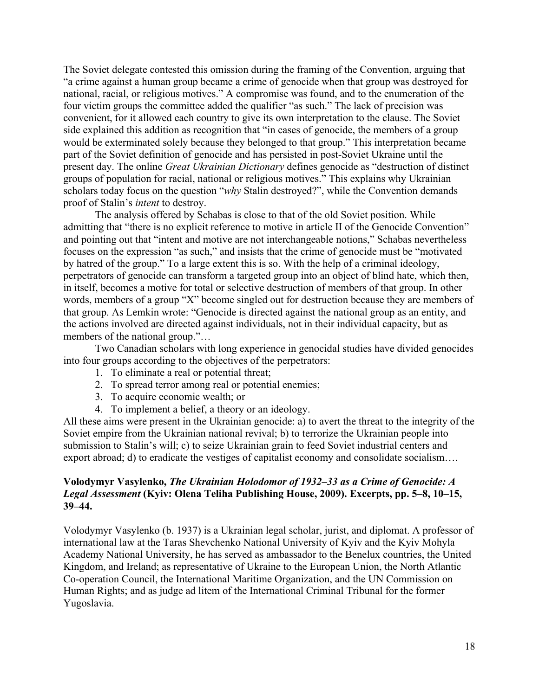The Soviet delegate contested this omission during the framing of the Convention, arguing that "a crime against a human group became a crime of genocide when that group was destroyed for national, racial, or religious motives." A compromise was found, and to the enumeration of the four victim groups the committee added the qualifier "as such." The lack of precision was convenient, for it allowed each country to give its own interpretation to the clause. The Soviet side explained this addition as recognition that "in cases of genocide, the members of a group would be exterminated solely because they belonged to that group." This interpretation became part of the Soviet definition of genocide and has persisted in post-Soviet Ukraine until the present day. The online *Great Ukrainian Dictionary* defines genocide as "destruction of distinct groups of population for racial, national or religious motives." This explains why Ukrainian scholars today focus on the question "*why* Stalin destroyed?", while the Convention demands proof of Stalin's *intent* to destroy.

The analysis offered by Schabas is close to that of the old Soviet position. While admitting that "there is no explicit reference to motive in article II of the Genocide Convention" and pointing out that "intent and motive are not interchangeable notions," Schabas nevertheless focuses on the expression "as such," and insists that the crime of genocide must be "motivated by hatred of the group." To a large extent this is so. With the help of a criminal ideology, perpetrators of genocide can transform a targeted group into an object of blind hate, which then, in itself, becomes a motive for total or selective destruction of members of that group. In other words, members of a group "X" become singled out for destruction because they are members of that group. As Lemkin wrote: "Genocide is directed against the national group as an entity, and the actions involved are directed against individuals, not in their individual capacity, but as members of the national group."…

Two Canadian scholars with long experience in genocidal studies have divided genocides into four groups according to the objectives of the perpetrators:

- 1. To eliminate a real or potential threat;
- 2. To spread terror among real or potential enemies;
- 3. To acquire economic wealth; or
- 4. To implement a belief, a theory or an ideology.

All these aims were present in the Ukrainian genocide: a) to avert the threat to the integrity of the Soviet empire from the Ukrainian national revival; b) to terrorize the Ukrainian people into submission to Stalin's will; c) to seize Ukrainian grain to feed Soviet industrial centers and export abroad; d) to eradicate the vestiges of capitalist economy and consolidate socialism….

## **Volodymyr Vasylenko,** *The Ukrainian Holodomor of 1932–33 as a Crime of Genocide: A Legal Assessment* **(Kyiv: Olena Teliha Publishing House, 2009). Excerpts, pp. 5–8, 10–15, 39–44.**

Volodymyr Vasylenko (b. 1937) is a Ukrainian legal scholar, jurist, and diplomat. A professor of international law at the Taras Shevchenko National University of Kyiv and the Kyiv Mohyla Academy National University, he has served as ambassador to the Benelux countries, the United Kingdom, and Ireland; as representative of Ukraine to the European Union, the North Atlantic Co-operation Council, the International Maritime Organization, and the UN Commission on Human Rights; and as judge ad litem of the International Criminal Tribunal for the former Yugoslavia.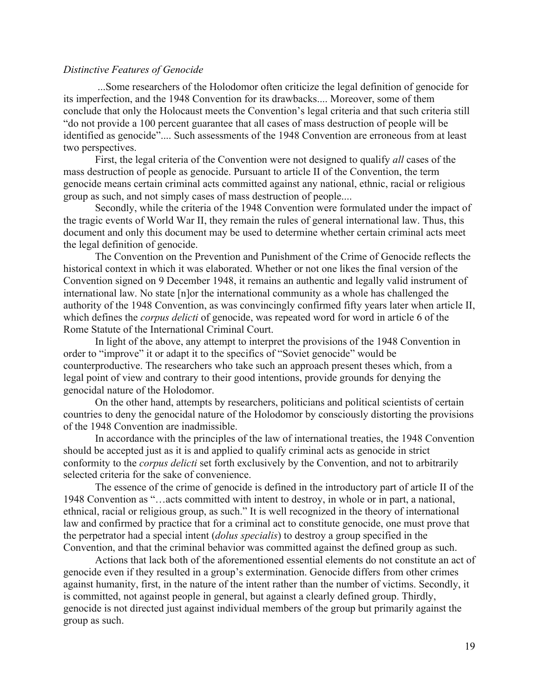#### *Distinctive Features of Genocide*

...Some researchers of the Holodomor often criticize the legal definition of genocide for its imperfection, and the 1948 Convention for its drawbacks.... Moreover, some of them conclude that only the Holocaust meets the Convention's legal criteria and that such criteria still "do not provide a 100 percent guarantee that all cases of mass destruction of people will be identified as genocide".... Such assessments of the 1948 Convention are erroneous from at least two perspectives.

First, the legal criteria of the Convention were not designed to qualify *all* cases of the mass destruction of people as genocide. Pursuant to article II of the Convention, the term genocide means certain criminal acts committed against any national, ethnic, racial or religious group as such, and not simply cases of mass destruction of people....

Secondly, while the criteria of the 1948 Convention were formulated under the impact of the tragic events of World War II, they remain the rules of general international law. Thus, this document and only this document may be used to determine whether certain criminal acts meet the legal definition of genocide.

The Convention on the Prevention and Punishment of the Crime of Genocide reflects the historical context in which it was elaborated. Whether or not one likes the final version of the Convention signed on 9 December 1948, it remains an authentic and legally valid instrument of international law. No state [n]or the international community as a whole has challenged the authority of the 1948 Convention, as was convincingly confirmed fifty years later when article II, which defines the *corpus delicti* of genocide, was repeated word for word in article 6 of the Rome Statute of the International Criminal Court.

In light of the above, any attempt to interpret the provisions of the 1948 Convention in order to "improve" it or adapt it to the specifics of "Soviet genocide" would be counterproductive. The researchers who take such an approach present theses which, from a legal point of view and contrary to their good intentions, provide grounds for denying the genocidal nature of the Holodomor.

On the other hand, attempts by researchers, politicians and political scientists of certain countries to deny the genocidal nature of the Holodomor by consciously distorting the provisions of the 1948 Convention are inadmissible.

In accordance with the principles of the law of international treaties, the 1948 Convention should be accepted just as it is and applied to qualify criminal acts as genocide in strict conformity to the *corpus delicti* set forth exclusively by the Convention, and not to arbitrarily selected criteria for the sake of convenience.

The essence of the crime of genocide is defined in the introductory part of article II of the 1948 Convention as "…acts committed with intent to destroy, in whole or in part, a national, ethnical, racial or religious group, as such." It is well recognized in the theory of international law and confirmed by practice that for a criminal act to constitute genocide, one must prove that the perpetrator had a special intent (*dolus specialis*) to destroy a group specified in the Convention, and that the criminal behavior was committed against the defined group as such.

Actions that lack both of the aforementioned essential elements do not constitute an act of genocide even if they resulted in a group's extermination. Genocide differs from other crimes against humanity, first, in the nature of the intent rather than the number of victims. Secondly, it is committed, not against people in general, but against a clearly defined group. Thirdly, genocide is not directed just against individual members of the group but primarily against the group as such.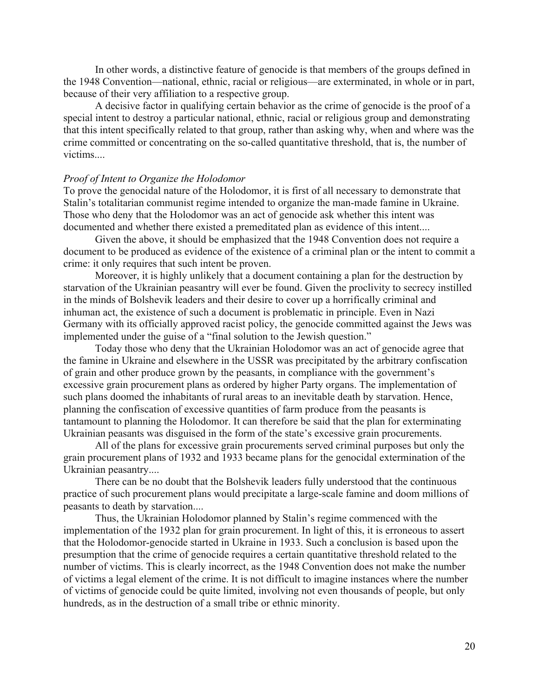In other words, a distinctive feature of genocide is that members of the groups defined in the 1948 Convention—national, ethnic, racial or religious—are exterminated, in whole or in part, because of their very affiliation to a respective group.

A decisive factor in qualifying certain behavior as the crime of genocide is the proof of a special intent to destroy a particular national, ethnic, racial or religious group and demonstrating that this intent specifically related to that group, rather than asking why, when and where was the crime committed or concentrating on the so-called quantitative threshold, that is, the number of victims....

#### *Proof of Intent to Organize the Holodomor*

To prove the genocidal nature of the Holodomor, it is first of all necessary to demonstrate that Stalin's totalitarian communist regime intended to organize the man-made famine in Ukraine. Those who deny that the Holodomor was an act of genocide ask whether this intent was documented and whether there existed a premeditated plan as evidence of this intent....

Given the above, it should be emphasized that the 1948 Convention does not require a document to be produced as evidence of the existence of a criminal plan or the intent to commit a crime: it only requires that such intent be proven.

Moreover, it is highly unlikely that a document containing a plan for the destruction by starvation of the Ukrainian peasantry will ever be found. Given the proclivity to secrecy instilled in the minds of Bolshevik leaders and their desire to cover up a horrifically criminal and inhuman act, the existence of such a document is problematic in principle. Even in Nazi Germany with its officially approved racist policy, the genocide committed against the Jews was implemented under the guise of a "final solution to the Jewish question."

Today those who deny that the Ukrainian Holodomor was an act of genocide agree that the famine in Ukraine and elsewhere in the USSR was precipitated by the arbitrary confiscation of grain and other produce grown by the peasants, in compliance with the government's excessive grain procurement plans as ordered by higher Party organs. The implementation of such plans doomed the inhabitants of rural areas to an inevitable death by starvation. Hence, planning the confiscation of excessive quantities of farm produce from the peasants is tantamount to planning the Holodomor. It can therefore be said that the plan for exterminating Ukrainian peasants was disguised in the form of the state's excessive grain procurements.

All of the plans for excessive grain procurements served criminal purposes but only the grain procurement plans of 1932 and 1933 became plans for the genocidal extermination of the Ukrainian peasantry....

There can be no doubt that the Bolshevik leaders fully understood that the continuous practice of such procurement plans would precipitate a large-scale famine and doom millions of peasants to death by starvation....

Thus, the Ukrainian Holodomor planned by Stalin's regime commenced with the implementation of the 1932 plan for grain procurement. In light of this, it is erroneous to assert that the Holodomor-genocide started in Ukraine in 1933. Such a conclusion is based upon the presumption that the crime of genocide requires a certain quantitative threshold related to the number of victims. This is clearly incorrect, as the 1948 Convention does not make the number of victims a legal element of the crime. It is not difficult to imagine instances where the number of victims of genocide could be quite limited, involving not even thousands of people, but only hundreds, as in the destruction of a small tribe or ethnic minority.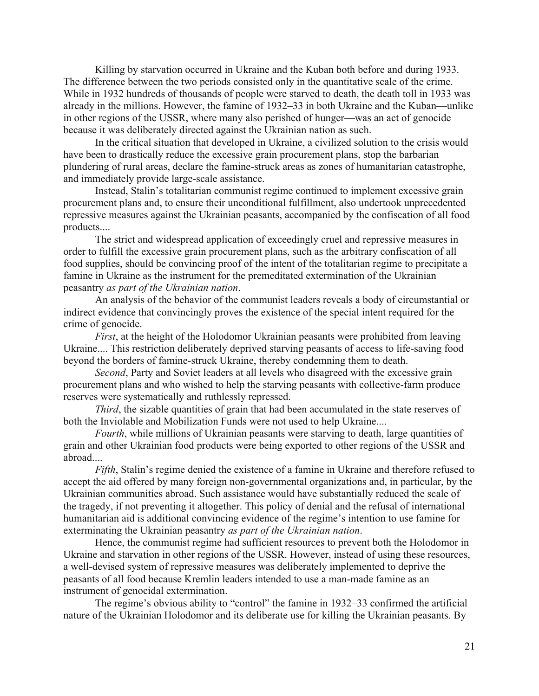Killing by starvation occurred in Ukraine and the Kuban both before and during 1933. The difference between the two periods consisted only in the quantitative scale of the crime. While in 1932 hundreds of thousands of people were starved to death, the death toll in 1933 was already in the millions. However, the famine of 1932–33 in both Ukraine and the Kuban—unlike in other regions of the USSR, where many also perished of hunger—was an act of genocide because it was deliberately directed against the Ukrainian nation as such.

In the critical situation that developed in Ukraine, a civilized solution to the crisis would have been to drastically reduce the excessive grain procurement plans, stop the barbarian plundering of rural areas, declare the famine-struck areas as zones of humanitarian catastrophe, and immediately provide large-scale assistance.

Instead, Stalin's totalitarian communist regime continued to implement excessive grain procurement plans and, to ensure their unconditional fulfillment, also undertook unprecedented repressive measures against the Ukrainian peasants, accompanied by the confiscation of all food products....

The strict and widespread application of exceedingly cruel and repressive measures in order to fulfill the excessive grain procurement plans, such as the arbitrary confiscation of all food supplies, should be convincing proof of the intent of the totalitarian regime to precipitate a famine in Ukraine as the instrument for the premeditated extermination of the Ukrainian peasantry *as part of the Ukrainian nation*.

An analysis of the behavior of the communist leaders reveals a body of circumstantial or indirect evidence that convincingly proves the existence of the special intent required for the crime of genocide.

*First*, at the height of the Holodomor Ukrainian peasants were prohibited from leaving Ukraine.... This restriction deliberately deprived starving peasants of access to life-saving food beyond the borders of famine-struck Ukraine, thereby condemning them to death.

*Second*, Party and Soviet leaders at all levels who disagreed with the excessive grain procurement plans and who wished to help the starving peasants with collective-farm produce reserves were systematically and ruthlessly repressed.

*Third*, the sizable quantities of grain that had been accumulated in the state reserves of both the Inviolable and Mobilization Funds were not used to help Ukraine....

*Fourth*, while millions of Ukrainian peasants were starving to death, large quantities of grain and other Ukrainian food products were being exported to other regions of the USSR and abroad....

*Fifth*, Stalin's regime denied the existence of a famine in Ukraine and therefore refused to accept the aid offered by many foreign non-governmental organizations and, in particular, by the Ukrainian communities abroad. Such assistance would have substantially reduced the scale of the tragedy, if not preventing it altogether. This policy of denial and the refusal of international humanitarian aid is additional convincing evidence of the regime's intention to use famine for exterminating the Ukrainian peasantry *as part of the Ukrainian nation*.

Hence, the communist regime had sufficient resources to prevent both the Holodomor in Ukraine and starvation in other regions of the USSR. However, instead of using these resources, a well-devised system of repressive measures was deliberately implemented to deprive the peasants of all food because Kremlin leaders intended to use a man-made famine as an instrument of genocidal extermination.

The regime's obvious ability to "control" the famine in 1932–33 confirmed the artificial nature of the Ukrainian Holodomor and its deliberate use for killing the Ukrainian peasants. By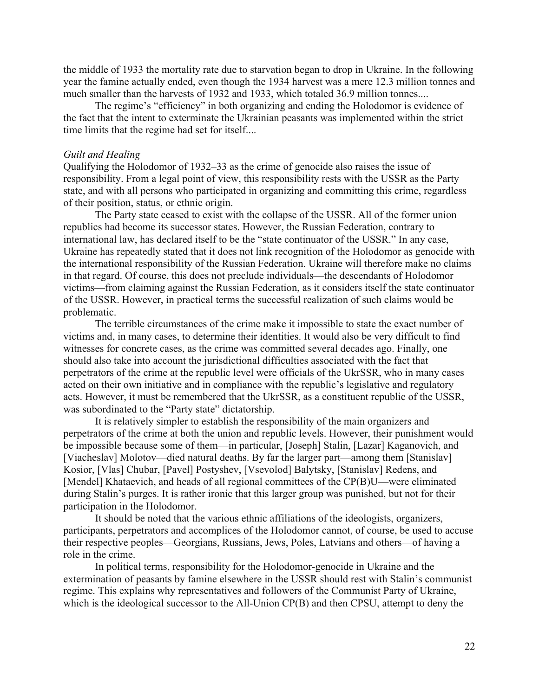the middle of 1933 the mortality rate due to starvation began to drop in Ukraine. In the following year the famine actually ended, even though the 1934 harvest was a mere 12.3 million tonnes and much smaller than the harvests of 1932 and 1933, which totaled 36.9 million tonnes....

The regime's "efficiency" in both organizing and ending the Holodomor is evidence of the fact that the intent to exterminate the Ukrainian peasants was implemented within the strict time limits that the regime had set for itself....

#### *Guilt and Healing*

Qualifying the Holodomor of 1932–33 as the crime of genocide also raises the issue of responsibility. From a legal point of view, this responsibility rests with the USSR as the Party state, and with all persons who participated in organizing and committing this crime, regardless of their position, status, or ethnic origin.

The Party state ceased to exist with the collapse of the USSR. All of the former union republics had become its successor states. However, the Russian Federation, contrary to international law, has declared itself to be the "state continuator of the USSR." In any case, Ukraine has repeatedly stated that it does not link recognition of the Holodomor as genocide with the international responsibility of the Russian Federation. Ukraine will therefore make no claims in that regard. Of course, this does not preclude individuals—the descendants of Holodomor victims—from claiming against the Russian Federation, as it considers itself the state continuator of the USSR. However, in practical terms the successful realization of such claims would be problematic.

The terrible circumstances of the crime make it impossible to state the exact number of victims and, in many cases, to determine their identities. It would also be very difficult to find witnesses for concrete cases, as the crime was committed several decades ago. Finally, one should also take into account the jurisdictional difficulties associated with the fact that perpetrators of the crime at the republic level were officials of the UkrSSR, who in many cases acted on their own initiative and in compliance with the republic's legislative and regulatory acts. However, it must be remembered that the UkrSSR, as a constituent republic of the USSR, was subordinated to the "Party state" dictatorship.

It is relatively simpler to establish the responsibility of the main organizers and perpetrators of the crime at both the union and republic levels. However, their punishment would be impossible because some of them—in particular, [Joseph] Stalin, [Lazar] Kaganovich, and [Viacheslav] Molotov—died natural deaths. By far the larger part—among them [Stanislav] Kosior, [Vlas] Chubar, [Pavel] Postyshev, [Vsevolod] Balytsky, [Stanislav] Redens, and [Mendel] Khataevich, and heads of all regional committees of the CP(B)U—were eliminated during Stalin's purges. It is rather ironic that this larger group was punished, but not for their participation in the Holodomor.

It should be noted that the various ethnic affiliations of the ideologists, organizers, participants, perpetrators and accomplices of the Holodomor cannot, of course, be used to accuse their respective peoples—Georgians, Russians, Jews, Poles, Latvians and others—of having a role in the crime.

In political terms, responsibility for the Holodomor-genocide in Ukraine and the extermination of peasants by famine elsewhere in the USSR should rest with Stalin's communist regime. This explains why representatives and followers of the Communist Party of Ukraine, which is the ideological successor to the All-Union CP(B) and then CPSU, attempt to deny the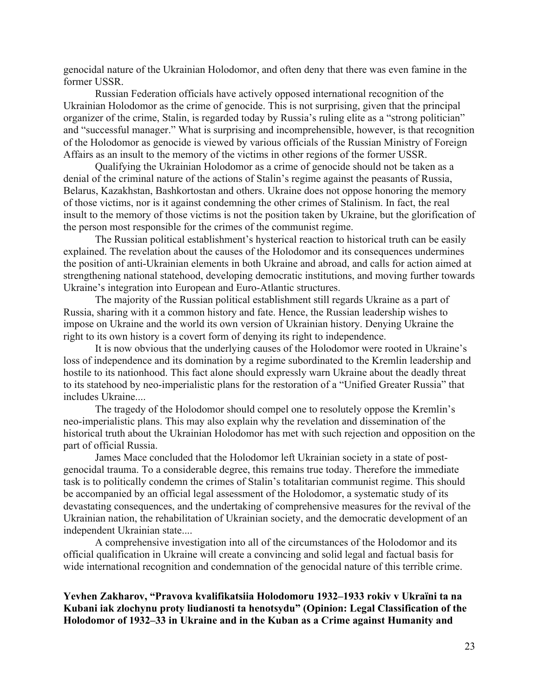genocidal nature of the Ukrainian Holodomor, and often deny that there was even famine in the former USSR.

Russian Federation officials have actively opposed international recognition of the Ukrainian Holodomor as the crime of genocide. This is not surprising, given that the principal organizer of the crime, Stalin, is regarded today by Russia's ruling elite as a "strong politician" and "successful manager." What is surprising and incomprehensible, however, is that recognition of the Holodomor as genocide is viewed by various officials of the Russian Ministry of Foreign Affairs as an insult to the memory of the victims in other regions of the former USSR.

Qualifying the Ukrainian Holodomor as a crime of genocide should not be taken as a denial of the criminal nature of the actions of Stalin's regime against the peasants of Russia, Belarus, Kazakhstan, Bashkortostan and others. Ukraine does not oppose honoring the memory of those victims, nor is it against condemning the other crimes of Stalinism. In fact, the real insult to the memory of those victims is not the position taken by Ukraine, but the glorification of the person most responsible for the crimes of the communist regime.

The Russian political establishment's hysterical reaction to historical truth can be easily explained. The revelation about the causes of the Holodomor and its consequences undermines the position of anti-Ukrainian elements in both Ukraine and abroad, and calls for action aimed at strengthening national statehood, developing democratic institutions, and moving further towards Ukraine's integration into European and Euro-Atlantic structures.

The majority of the Russian political establishment still regards Ukraine as a part of Russia, sharing with it a common history and fate. Hence, the Russian leadership wishes to impose on Ukraine and the world its own version of Ukrainian history. Denying Ukraine the right to its own history is a covert form of denying its right to independence.

It is now obvious that the underlying causes of the Holodomor were rooted in Ukraine's loss of independence and its domination by a regime subordinated to the Kremlin leadership and hostile to its nationhood. This fact alone should expressly warn Ukraine about the deadly threat to its statehood by neo-imperialistic plans for the restoration of a "Unified Greater Russia" that includes Ukraine....

The tragedy of the Holodomor should compel one to resolutely oppose the Kremlin's neo-imperialistic plans. This may also explain why the revelation and dissemination of the historical truth about the Ukrainian Holodomor has met with such rejection and opposition on the part of official Russia.

James Mace concluded that the Holodomor left Ukrainian society in a state of postgenocidal trauma. To a considerable degree, this remains true today. Therefore the immediate task is to politically condemn the crimes of Stalin's totalitarian communist regime. This should be accompanied by an official legal assessment of the Holodomor, a systematic study of its devastating consequences, and the undertaking of comprehensive measures for the revival of the Ukrainian nation, the rehabilitation of Ukrainian society, and the democratic development of an independent Ukrainian state....

A comprehensive investigation into all of the circumstances of the Holodomor and its official qualification in Ukraine will create a convincing and solid legal and factual basis for wide international recognition and condemnation of the genocidal nature of this terrible crime.

**Yevhen Zakharov, "Pravova kvalifikatsiia Holodomoru 1932–1933 rokiv v Ukraïni ta na Kubani iak zlochynu proty liudianosti ta henotsydu" (Opinion: Legal Classification of the Holodomor of 1932–33 in Ukraine and in the Kuban as a Crime against Humanity and**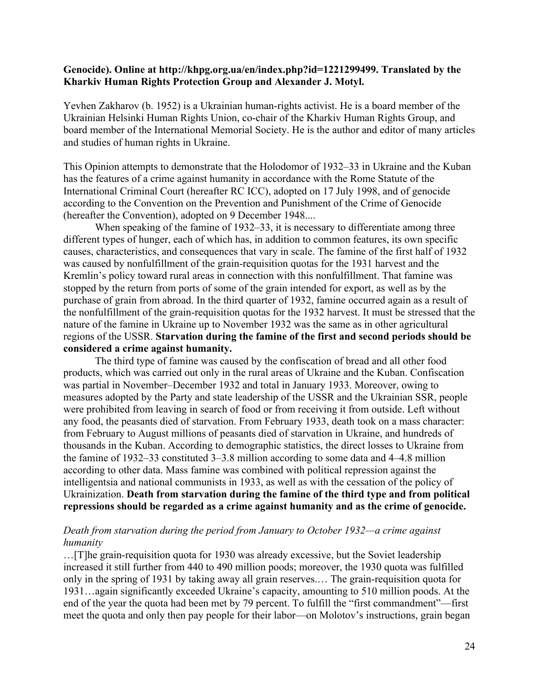### **Genocide). Online at http://khpg.org.ua/en/index.php?id=1221299499. Translated by the Kharkiv Human Rights Protection Group and Alexander J. Motyl.**

Yevhen Zakharov (b. 1952) is a Ukrainian human-rights activist. He is a board member of the Ukrainian Helsinki Human Rights Union, co-chair of the Kharkiv Human Rights Group, and board member of the International Memorial Society. He is the author and editor of many articles and studies of human rights in Ukraine.

This Opinion attempts to demonstrate that the Holodomor of 1932–33 in Ukraine and the Kuban has the features of a crime against humanity in accordance with the Rome Statute of the International Criminal Court (hereafter RC ICC), adopted on 17 July 1998, and of genocide according to the Convention on the Prevention and Punishment of the Crime of Genocide (hereafter the Convention), adopted on 9 December 1948....

When speaking of the famine of 1932–33, it is necessary to differentiate among three different types of hunger, each of which has, in addition to common features, its own specific causes, characteristics, and consequences that vary in scale. The famine of the first half of 1932 was caused by nonfulfillment of the grain-requisition quotas for the 1931 harvest and the Kremlin's policy toward rural areas in connection with this nonfulfillment. That famine was stopped by the return from ports of some of the grain intended for export, as well as by the purchase of grain from abroad. In the third quarter of 1932, famine occurred again as a result of the nonfulfillment of the grain-requisition quotas for the 1932 harvest. It must be stressed that the nature of the famine in Ukraine up to November 1932 was the same as in other agricultural regions of the USSR. **Starvation during the famine of the first and second periods should be considered a crime against humanity.**

The third type of famine was caused by the confiscation of bread and all other food products, which was carried out only in the rural areas of Ukraine and the Kuban. Confiscation was partial in November–December 1932 and total in January 1933. Moreover, owing to measures adopted by the Party and state leadership of the USSR and the Ukrainian SSR, people were prohibited from leaving in search of food or from receiving it from outside. Left without any food, the peasants died of starvation. From February 1933, death took on a mass character: from February to August millions of peasants died of starvation in Ukraine, and hundreds of thousands in the Kuban. According to demographic statistics, the direct losses to Ukraine from the famine of 1932–33 constituted 3–3.8 million according to some data and 4–4.8 million according to other data. Mass famine was combined with political repression against the intelligentsia and national communists in 1933, as well as with the cessation of the policy of Ukrainization. **Death from starvation during the famine of the third type and from political repressions should be regarded as a crime against humanity and as the crime of genocide.**

### *Death from starvation during the period from January to October 1932—a crime against humanity*

…[T]he grain-requisition quota for 1930 was already excessive, but the Soviet leadership increased it still further from 440 to 490 million poods; moreover, the 1930 quota was fulfilled only in the spring of 1931 by taking away all grain reserves.… The grain-requisition quota for 1931…again significantly exceeded Ukraine's capacity, amounting to 510 million poods. At the end of the year the quota had been met by 79 percent. To fulfill the "first commandment"—first meet the quota and only then pay people for their labor—on Molotov's instructions, grain began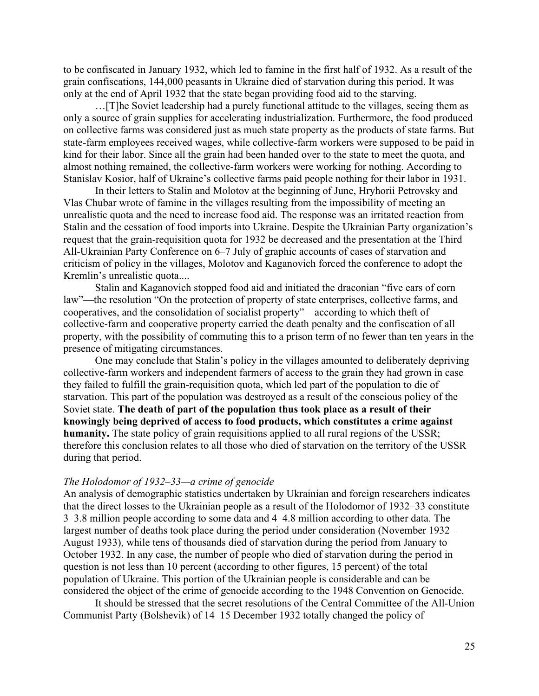to be confiscated in January 1932, which led to famine in the first half of 1932. As a result of the grain confiscations, 144,000 peasants in Ukraine died of starvation during this period. It was only at the end of April 1932 that the state began providing food aid to the starving.

…[T]he Soviet leadership had a purely functional attitude to the villages, seeing them as only a source of grain supplies for accelerating industrialization. Furthermore, the food produced on collective farms was considered just as much state property as the products of state farms. But state-farm employees received wages, while collective-farm workers were supposed to be paid in kind for their labor. Since all the grain had been handed over to the state to meet the quota, and almost nothing remained, the collective-farm workers were working for nothing. According to Stanislav Kosior, half of Ukraine's collective farms paid people nothing for their labor in 1931.

In their letters to Stalin and Molotov at the beginning of June, Hryhorii Petrovsky and Vlas Chubar wrote of famine in the villages resulting from the impossibility of meeting an unrealistic quota and the need to increase food aid. The response was an irritated reaction from Stalin and the cessation of food imports into Ukraine. Despite the Ukrainian Party organization's request that the grain-requisition quota for 1932 be decreased and the presentation at the Third All-Ukrainian Party Conference on 6–7 July of graphic accounts of cases of starvation and criticism of policy in the villages, Molotov and Kaganovich forced the conference to adopt the Kremlin's unrealistic quota....

Stalin and Kaganovich stopped food aid and initiated the draconian "five ears of corn law"—the resolution "On the protection of property of state enterprises, collective farms, and cooperatives, and the consolidation of socialist property"—according to which theft of collective-farm and cooperative property carried the death penalty and the confiscation of all property, with the possibility of commuting this to a prison term of no fewer than ten years in the presence of mitigating circumstances.

One may conclude that Stalin's policy in the villages amounted to deliberately depriving collective-farm workers and independent farmers of access to the grain they had grown in case they failed to fulfill the grain-requisition quota, which led part of the population to die of starvation. This part of the population was destroyed as a result of the conscious policy of the Soviet state. **The death of part of the population thus took place as a result of their knowingly being deprived of access to food products, which constitutes a crime against humanity.** The state policy of grain requisitions applied to all rural regions of the USSR; therefore this conclusion relates to all those who died of starvation on the territory of the USSR during that period.

#### *The Holodomor of 1932–33—a crime of genocide*

An analysis of demographic statistics undertaken by Ukrainian and foreign researchers indicates that the direct losses to the Ukrainian people as a result of the Holodomor of 1932–33 constitute 3–3.8 million people according to some data and 4–4.8 million according to other data. The largest number of deaths took place during the period under consideration (November 1932– August 1933), while tens of thousands died of starvation during the period from January to October 1932. In any case, the number of people who died of starvation during the period in question is not less than 10 percent (according to other figures, 15 percent) of the total population of Ukraine. This portion of the Ukrainian people is considerable and can be considered the object of the crime of genocide according to the 1948 Convention on Genocide.

It should be stressed that the secret resolutions of the Central Committee of the All-Union Communist Party (Bolshevik) of 14–15 December 1932 totally changed the policy of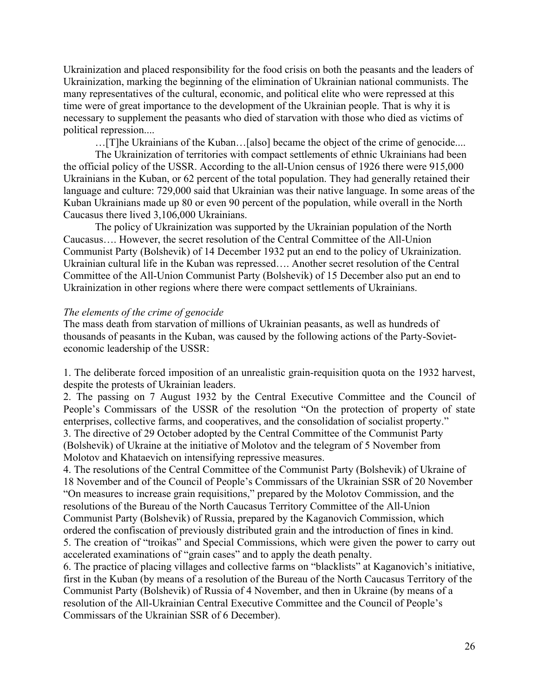Ukrainization and placed responsibility for the food crisis on both the peasants and the leaders of Ukrainization, marking the beginning of the elimination of Ukrainian national communists. The many representatives of the cultural, economic, and political elite who were repressed at this time were of great importance to the development of the Ukrainian people. That is why it is necessary to supplement the peasants who died of starvation with those who died as victims of political repression....

…[T]he Ukrainians of the Kuban…[also] became the object of the crime of genocide....

The Ukrainization of territories with compact settlements of ethnic Ukrainians had been the official policy of the USSR. According to the all-Union census of 1926 there were 915,000 Ukrainians in the Kuban, or 62 percent of the total population. They had generally retained their language and culture: 729,000 said that Ukrainian was their native language. In some areas of the Kuban Ukrainians made up 80 or even 90 percent of the population, while overall in the North Caucasus there lived 3,106,000 Ukrainians.

The policy of Ukrainization was supported by the Ukrainian population of the North Caucasus…. However, the secret resolution of the Central Committee of the All-Union Communist Party (Bolshevik) of 14 December 1932 put an end to the policy of Ukrainization. Ukrainian cultural life in the Kuban was repressed…. Another secret resolution of the Central Committee of the All-Union Communist Party (Bolshevik) of 15 December also put an end to Ukrainization in other regions where there were compact settlements of Ukrainians.

#### *The elements of the crime of genocide*

The mass death from starvation of millions of Ukrainian peasants, as well as hundreds of thousands of peasants in the Kuban, was caused by the following actions of the Party-Sovieteconomic leadership of the USSR:

1. The deliberate forced imposition of an unrealistic grain-requisition quota on the 1932 harvest, despite the protests of Ukrainian leaders.

2. The passing on 7 August 1932 by the Central Executive Committee and the Council of People's Commissars of the USSR of the resolution "On the protection of property of state enterprises, collective farms, and cooperatives, and the consolidation of socialist property." 3. The directive of 29 October adopted by the Central Committee of the Communist Party (Bolshevik) of Ukraine at the initiative of Molotov and the telegram of 5 November from Molotov and Khataevich on intensifying repressive measures.

4. The resolutions of the Central Committee of the Communist Party (Bolshevik) of Ukraine of 18 November and of the Council of People's Commissars of the Ukrainian SSR of 20 November "On measures to increase grain requisitions," prepared by the Molotov Commission, and the resolutions of the Bureau of the North Caucasus Territory Committee of the All-Union Communist Party (Bolshevik) of Russia, prepared by the Kaganovich Commission, which ordered the confiscation of previously distributed grain and the introduction of fines in kind. 5. The creation of "troikas" and Special Commissions, which were given the power to carry out accelerated examinations of "grain cases" and to apply the death penalty.

6. The practice of placing villages and collective farms on "blacklists" at Kaganovich's initiative, first in the Kuban (by means of a resolution of the Bureau of the North Caucasus Territory of the Communist Party (Bolshevik) of Russia of 4 November, and then in Ukraine (by means of a resolution of the All-Ukrainian Central Executive Committee and the Council of People's Commissars of the Ukrainian SSR of 6 December).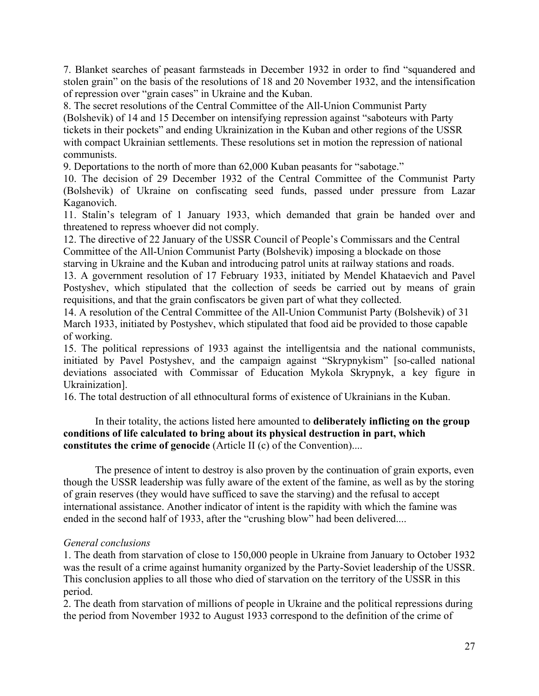7. Blanket searches of peasant farmsteads in December 1932 in order to find "squandered and stolen grain" on the basis of the resolutions of 18 and 20 November 1932, and the intensification of repression over "grain cases" in Ukraine and the Kuban.

8. The secret resolutions of the Central Committee of the All-Union Communist Party (Bolshevik) of 14 and 15 December on intensifying repression against "saboteurs with Party tickets in their pockets" and ending Ukrainization in the Kuban and other regions of the USSR with compact Ukrainian settlements. These resolutions set in motion the repression of national communists.

9. Deportations to the north of more than 62,000 Kuban peasants for "sabotage."

10. The decision of 29 December 1932 of the Central Committee of the Communist Party (Bolshevik) of Ukraine on confiscating seed funds, passed under pressure from Lazar Kaganovich.

11. Stalin's telegram of 1 January 1933, which demanded that grain be handed over and threatened to repress whoever did not comply.

12. The directive of 22 January of the USSR Council of People's Commissars and the Central Committee of the All-Union Communist Party (Bolshevik) imposing a blockade on those starving in Ukraine and the Kuban and introducing patrol units at railway stations and roads.

13. A government resolution of 17 February 1933, initiated by Mendel Khataevich and Pavel Postyshev, which stipulated that the collection of seeds be carried out by means of grain requisitions, and that the grain confiscators be given part of what they collected.

14. A resolution of the Central Committee of the All-Union Communist Party (Bolshevik) of 31 March 1933, initiated by Postyshev, which stipulated that food aid be provided to those capable of working.

15. The political repressions of 1933 against the intelligentsia and the national communists, initiated by Pavel Postyshev, and the campaign against "Skrypnykism" [so-called national deviations associated with Commissar of Education Mykola Skrypnyk, a key figure in Ukrainization].

16. The total destruction of all ethnocultural forms of existence of Ukrainians in the Kuban.

In their totality, the actions listed here amounted to **deliberately inflicting on the group conditions of life calculated to bring about its physical destruction in part, which constitutes the crime of genocide** (Article II (c) of the Convention)....

The presence of intent to destroy is also proven by the continuation of grain exports, even though the USSR leadership was fully aware of the extent of the famine, as well as by the storing of grain reserves (they would have sufficed to save the starving) and the refusal to accept international assistance. Another indicator of intent is the rapidity with which the famine was ended in the second half of 1933, after the "crushing blow" had been delivered....

### *General conclusions*

1. The death from starvation of close to 150,000 people in Ukraine from January to October 1932 was the result of a crime against humanity organized by the Party-Soviet leadership of the USSR. This conclusion applies to all those who died of starvation on the territory of the USSR in this period.

2. The death from starvation of millions of people in Ukraine and the political repressions during the period from November 1932 to August 1933 correspond to the definition of the crime of